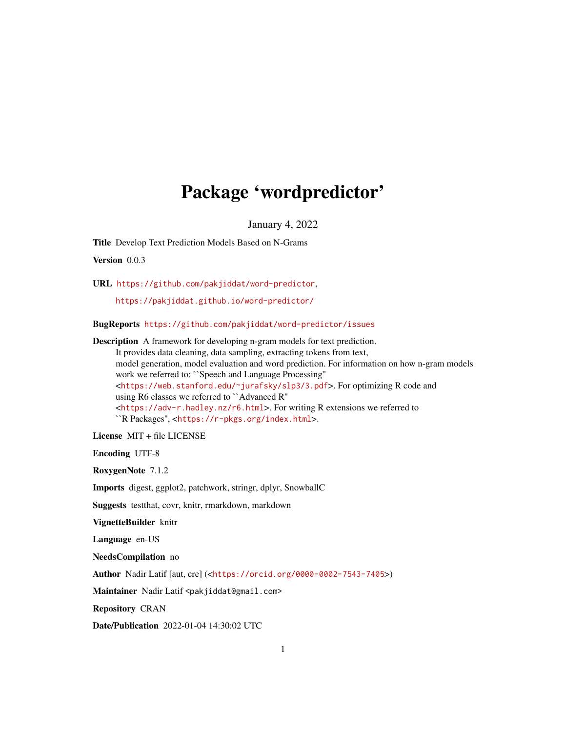# Package 'wordpredictor'

January 4, 2022

<span id="page-0-0"></span>Title Develop Text Prediction Models Based on N-Grams

Version 0.0.3

URL <https://github.com/pakjiddat/word-predictor>,

<https://pakjiddat.github.io/word-predictor/>

BugReports <https://github.com/pakjiddat/word-predictor/issues>

Description A framework for developing n-gram models for text prediction. It provides data cleaning, data sampling, extracting tokens from text, model generation, model evaluation and word prediction. For information on how n-gram models work we referred to: ``Speech and Language Processing'' <<https://web.stanford.edu/~jurafsky/slp3/3.pdf>>. For optimizing R code and using R6 classes we referred to ``Advanced R'' <<https://adv-r.hadley.nz/r6.html>>. For writing R extensions we referred to ``R Packages'', <<https://r-pkgs.org/index.html>>.

License MIT + file LICENSE

Encoding UTF-8

RoxygenNote 7.1.2

Imports digest, ggplot2, patchwork, stringr, dplyr, SnowballC

Suggests testthat, covr, knitr, rmarkdown, markdown

VignetteBuilder knitr

Language en-US

NeedsCompilation no

Author Nadir Latif [aut, cre] (<<https://orcid.org/0000-0002-7543-7405>>)

Maintainer Nadir Latif <pakjiddat@gmail.com>

Repository CRAN

Date/Publication 2022-01-04 14:30:02 UTC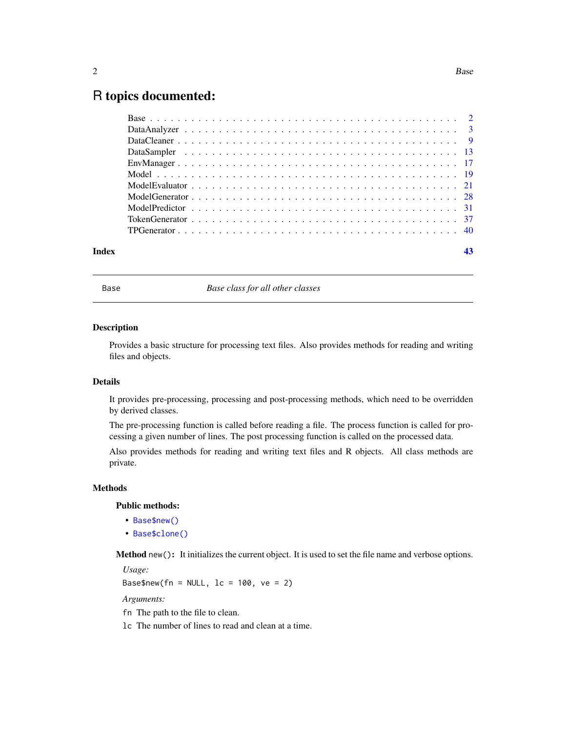# <span id="page-1-0"></span>R topics documented:

| Index | 43 |
|-------|----|

Base *Base class for all other classes*

# Description

Provides a basic structure for processing text files. Also provides methods for reading and writing files and objects.

# Details

It provides pre-processing, processing and post-processing methods, which need to be overridden by derived classes.

The pre-processing function is called before reading a file. The process function is called for processing a given number of lines. The post processing function is called on the processed data.

Also provides methods for reading and writing text files and R objects. All class methods are private.

# Methods

# Public methods:

- [Base\\$new\(\)](#page-1-1)
- [Base\\$clone\(\)](#page-2-1)

<span id="page-1-1"></span>Method new(): It initializes the current object. It is used to set the file name and verbose options.

*Usage:*

Base\$new(fn = NULL,  $lc = 100$ ,  $ve = 2$ )

*Arguments:*

- fn The path to the file to clean.
- lc The number of lines to read and clean at a time.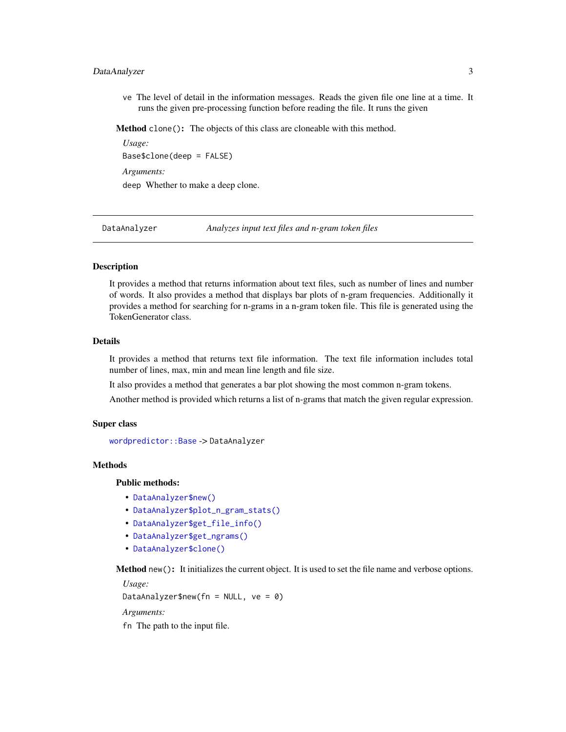# <span id="page-2-0"></span>DataAnalyzer 3

ve The level of detail in the information messages. Reads the given file one line at a time. It runs the given pre-processing function before reading the file. It runs the given

<span id="page-2-1"></span>Method clone(): The objects of this class are cloneable with this method.

*Usage:* Base\$clone(deep = FALSE) *Arguments:* deep Whether to make a deep clone.

DataAnalyzer *Analyzes input text files and n-gram token files*

# **Description**

It provides a method that returns information about text files, such as number of lines and number of words. It also provides a method that displays bar plots of n-gram frequencies. Additionally it provides a method for searching for n-grams in a n-gram token file. This file is generated using the TokenGenerator class.

# Details

It provides a method that returns text file information. The text file information includes total number of lines, max, min and mean line length and file size.

It also provides a method that generates a bar plot showing the most common n-gram tokens.

Another method is provided which returns a list of n-grams that match the given regular expression.

# Super class

[wordpredictor::Base](#page-0-0) -> DataAnalyzer

#### Methods

Public methods:

- [DataAnalyzer\\$new\(\)](#page-1-1)
- [DataAnalyzer\\$plot\\_n\\_gram\\_stats\(\)](#page-3-0)
- [DataAnalyzer\\$get\\_file\\_info\(\)](#page-4-0)
- [DataAnalyzer\\$get\\_ngrams\(\)](#page-4-1)
- [DataAnalyzer\\$clone\(\)](#page-2-1)

Method new(): It initializes the current object. It is used to set the file name and verbose options.

*Usage:*

DataAnalyzer\$new(fn = NULL,  $ve = 0$ )

*Arguments:*

fn The path to the input file.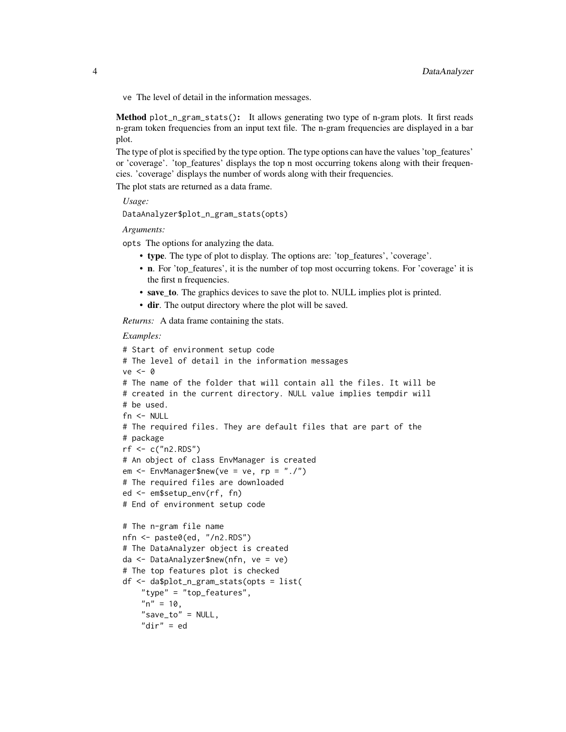ve The level of detail in the information messages.

<span id="page-3-0"></span>Method plot\_n\_gram\_stats(): It allows generating two type of n-gram plots. It first reads n-gram token frequencies from an input text file. The n-gram frequencies are displayed in a bar plot.

The type of plot is specified by the type option. The type options can have the values 'top\_features' or 'coverage'. 'top\_features' displays the top n most occurring tokens along with their frequencies. 'coverage' displays the number of words along with their frequencies.

The plot stats are returned as a data frame.

*Usage:*

```
DataAnalyzer$plot_n_gram_stats(opts)
```
*Arguments:*

opts The options for analyzing the data.

- type. The type of plot to display. The options are: 'top\_features', 'coverage'.
- n. For 'top\_features', it is the number of top most occurring tokens. For 'coverage' it is the first n frequencies.
- save to. The graphics devices to save the plot to. NULL implies plot is printed.
- dir. The output directory where the plot will be saved.

*Returns:* A data frame containing the stats.

"save\_to" = NULL, "dir" = ed

```
# Start of environment setup code
# The level of detail in the information messages
ve < - \theta# The name of the folder that will contain all the files. It will be
# created in the current directory. NULL value implies tempdir will
# be used.
fn <- NULL
# The required files. They are default files that are part of the
# package
rf <- c("n2.RDS")
# An object of class EnvManager is created
em \leq EnvManager$new(ve = ve, rp = "./")
# The required files are downloaded
ed <- em$setup_env(rf, fn)
# End of environment setup code
# The n-gram file name
nfn <- paste0(ed, "/n2.RDS")
# The DataAnalyzer object is created
da <- DataAnalyzer$new(nfn, ve = ve)
# The top features plot is checked
df <- da$plot_n_gram_stats(opts = list(
    "type" = "top_features",
    "n" = 10,
```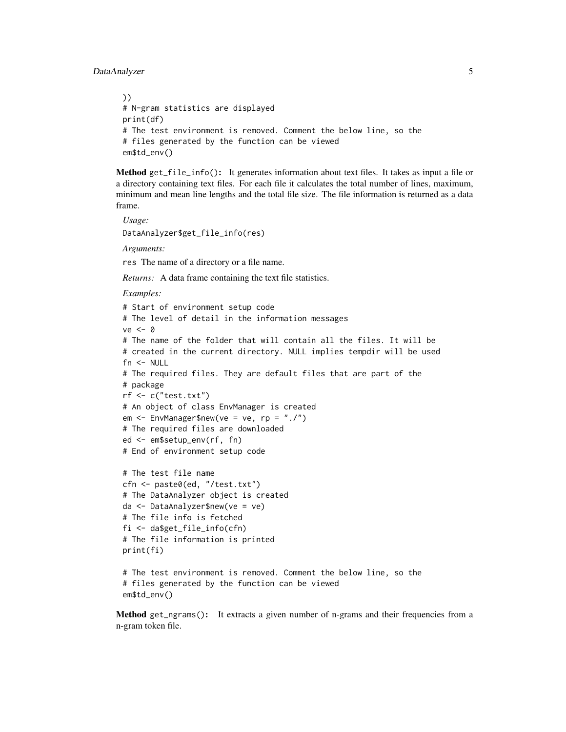# DataAnalyzer 5

```
))
# N-gram statistics are displayed
print(df)
# The test environment is removed. Comment the below line, so the
# files generated by the function can be viewed
em$td_env()
```
<span id="page-4-0"></span>Method get\_file\_info(): It generates information about text files. It takes as input a file or a directory containing text files. For each file it calculates the total number of lines, maximum, minimum and mean line lengths and the total file size. The file information is returned as a data frame.

*Usage:*

DataAnalyzer\$get\_file\_info(res)

*Arguments:*

res The name of a directory or a file name.

*Returns:* A data frame containing the text file statistics.

*Examples:*

```
# Start of environment setup code
# The level of detail in the information messages
ve < - \theta# The name of the folder that will contain all the files. It will be
# created in the current directory. NULL implies tempdir will be used
fn <- NULL
# The required files. They are default files that are part of the
# package
rf <- c("test.txt")
# An object of class EnvManager is created
em \leq EnvManager$new(ve = ve, rp = "./")
# The required files are downloaded
ed <- em$setup_env(rf, fn)
# End of environment setup code
# The test file name
```

```
cfn <- paste0(ed, "/test.txt")
# The DataAnalyzer object is created
da <- DataAnalyzer$new(ve = ve)
# The file info is fetched
fi <- da$get_file_info(cfn)
# The file information is printed
print(fi)
```

```
# The test environment is removed. Comment the below line, so the
# files generated by the function can be viewed
em$td_env()
```
<span id="page-4-1"></span>Method get\_ngrams(): It extracts a given number of n-grams and their frequencies from a n-gram token file.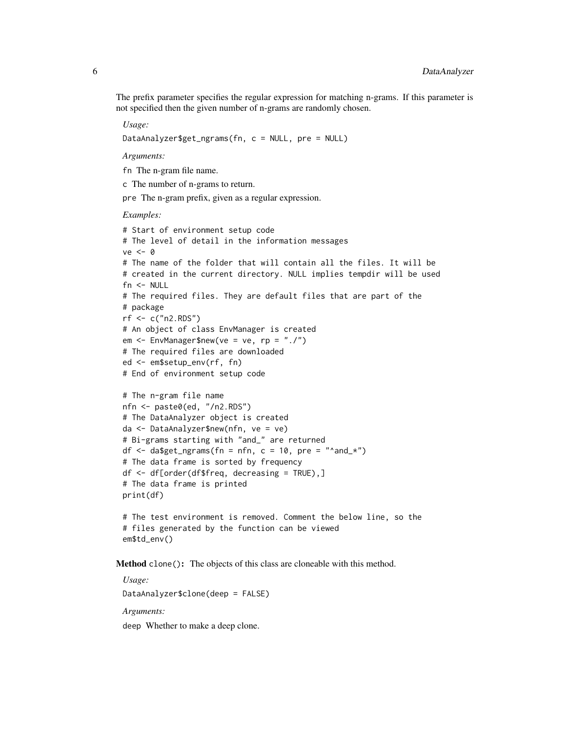The prefix parameter specifies the regular expression for matching n-grams. If this parameter is not specified then the given number of n-grams are randomly chosen.

*Usage:*

DataAnalyzer\$get\_ngrams(fn, c = NULL, pre = NULL)

*Arguments:*

fn The n-gram file name.

c The number of n-grams to return.

pre The n-gram prefix, given as a regular expression.

#### *Examples:*

```
# Start of environment setup code
# The level of detail in the information messages
ve < - \theta# The name of the folder that will contain all the files. It will be
# created in the current directory. NULL implies tempdir will be used
fn <- NULL
# The required files. They are default files that are part of the
# package
rf <- c("n2.RDS")
# An object of class EnvManager is created
em \leq EnvManager$new(ve = ve, rp = "./")
# The required files are downloaded
ed <- em$setup_env(rf, fn)
# End of environment setup code
# The n-gram file name
nfn <- paste0(ed, "/n2.RDS")
# The DataAnalyzer object is created
da <- DataAnalyzer$new(nfn, ve = ve)
# Bi-grams starting with "and_" are returned
df \leq da$get_ngrams(fn = nfn, c = 10, pre = "^and_*")
# The data frame is sorted by frequency
df <- df[order(df$freq, decreasing = TRUE),]
# The data frame is printed
print(df)
# The test environment is removed. Comment the below line, so the
```
Method clone(): The objects of this class are cloneable with this method.

# files generated by the function can be viewed

*Usage:* DataAnalyzer\$clone(deep = FALSE) *Arguments:* deep Whether to make a deep clone.

em\$td\_env()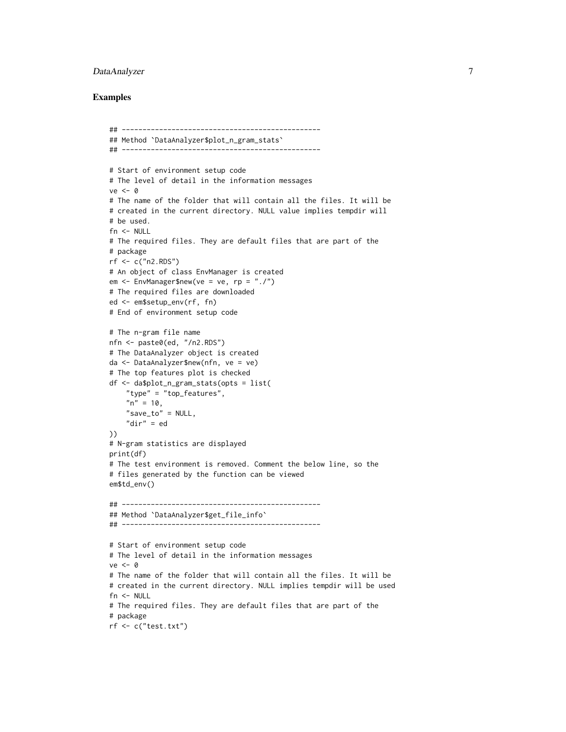# DataAnalyzer 7

```
## ------------------------------------------------
## Method `DataAnalyzer$plot_n_gram_stats`
## ------------------------------------------------
# Start of environment setup code
# The level of detail in the information messages
ve < - \theta# The name of the folder that will contain all the files. It will be
# created in the current directory. NULL value implies tempdir will
# be used.
fn <- NULL
# The required files. They are default files that are part of the
# package
rf <- c("n2.RDS")
# An object of class EnvManager is created
em <- EnvManager$new(ve = ve, rp = "./")
# The required files are downloaded
ed <- em$setup_env(rf, fn)
# End of environment setup code
# The n-gram file name
nfn <- paste0(ed, "/n2.RDS")
# The DataAnalyzer object is created
da <- DataAnalyzer$new(nfn, ve = ve)
# The top features plot is checked
df <- da$plot_n_gram_stats(opts = list(
    "type" = "top_features",
    "n" = 10,"save_to" = NULL,
    "dir" = ed))
# N-gram statistics are displayed
print(df)
# The test environment is removed. Comment the below line, so the
# files generated by the function can be viewed
em$td_env()
## ------------------------------------------------
## Method `DataAnalyzer$get_file_info`
## ------------------------------------------------
# Start of environment setup code
# The level of detail in the information messages
ve < - \theta# The name of the folder that will contain all the files. It will be
# created in the current directory. NULL implies tempdir will be used
fn <- NULL
# The required files. They are default files that are part of the
# package
rf <- c("test.txt")
```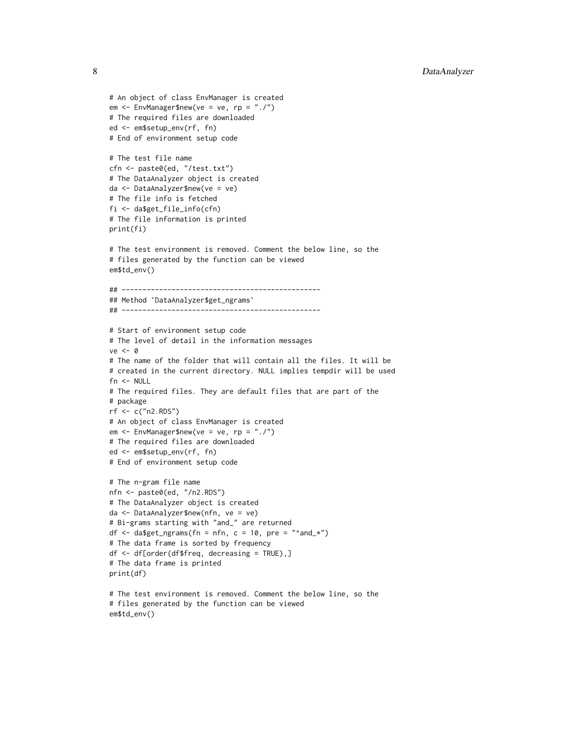```
# An object of class EnvManager is created
em <- EnvManager$new(ve = ve, rp = "./")
# The required files are downloaded
ed <- em$setup_env(rf, fn)
# End of environment setup code
# The test file name
cfn <- paste0(ed, "/test.txt")
# The DataAnalyzer object is created
da <- DataAnalyzer$new(ve = ve)
# The file info is fetched
fi <- da$get_file_info(cfn)
# The file information is printed
print(fi)
# The test environment is removed. Comment the below line, so the
# files generated by the function can be viewed
em$td_env()
## ------------------------------------------------
## Method `DataAnalyzer$get_ngrams`
## ------------------------------------------------
# Start of environment setup code
# The level of detail in the information messages
ve <- 0
# The name of the folder that will contain all the files. It will be
# created in the current directory. NULL implies tempdir will be used
fn <- NULL
# The required files. They are default files that are part of the
# package
rf \leftarrow c("n2.RDS")# An object of class EnvManager is created
em <- EnvManager$new(ve = ve, rp = "./")
# The required files are downloaded
ed <- em$setup_env(rf, fn)
# End of environment setup code
# The n-gram file name
nfn <- paste0(ed, "/n2.RDS")
# The DataAnalyzer object is created
da <- DataAnalyzer$new(nfn, ve = ve)
# Bi-grams starting with "and_" are returned
df \leq da$get_ngrams(fn = nfn, c = 10, pre = "^and_*")
# The data frame is sorted by frequency
df <- df[order(df$freq, decreasing = TRUE),]
# The data frame is printed
print(df)
# The test environment is removed. Comment the below line, so the
# files generated by the function can be viewed
```

```
em$td_env()
```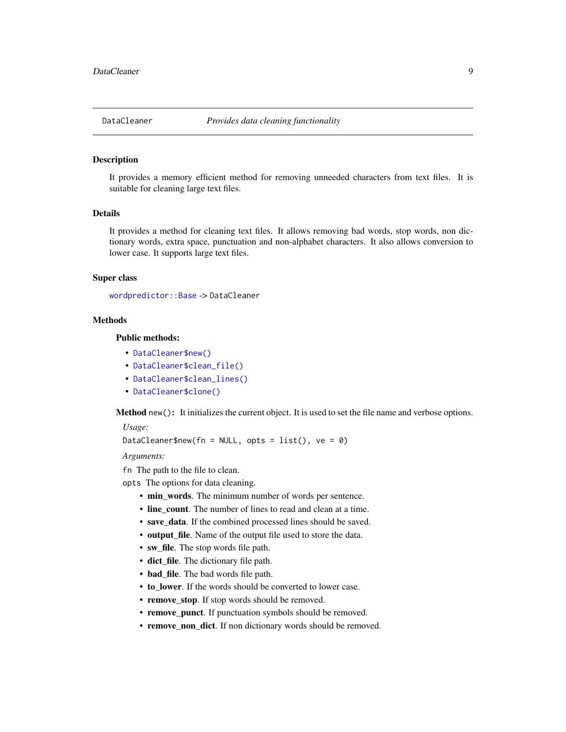#### <span id="page-8-0"></span>Description

It provides a memory efficient method for removing unneeded characters from text files. It is suitable for cleaning large text files.

# Details

It provides a method for cleaning text files. It allows removing bad words, stop words, non dictionary words, extra space, punctuation and non-alphabet characters. It also allows conversion to lower case. It supports large text files.

#### Super class

[wordpredictor::Base](#page-0-0) -> DataCleaner

# Methods

# Public methods:

- [DataCleaner\\$new\(\)](#page-1-1)
- [DataCleaner\\$clean\\_file\(\)](#page-9-0)
- [DataCleaner\\$clean\\_lines\(\)](#page-9-1)
- [DataCleaner\\$clone\(\)](#page-2-1)

Method new(): It initializes the current object. It is used to set the file name and verbose options.

*Usage:*

```
DataCleaner$new(fn = NULL, opts = list(), ve = 0)
```
*Arguments:*

fn The path to the file to clean.

opts The options for data cleaning.

- min\_words. The minimum number of words per sentence.
- line\_count. The number of lines to read and clean at a time.
- save\_data. If the combined processed lines should be saved.
- output\_file. Name of the output file used to store the data.
- sw\_file. The stop words file path.
- dict file. The dictionary file path.
- bad\_file. The bad words file path.
- to\_lower. If the words should be converted to lower case.
- remove\_stop. If stop words should be removed.
- remove\_punct. If punctuation symbols should be removed.
- remove\_non\_dict. If non dictionary words should be removed.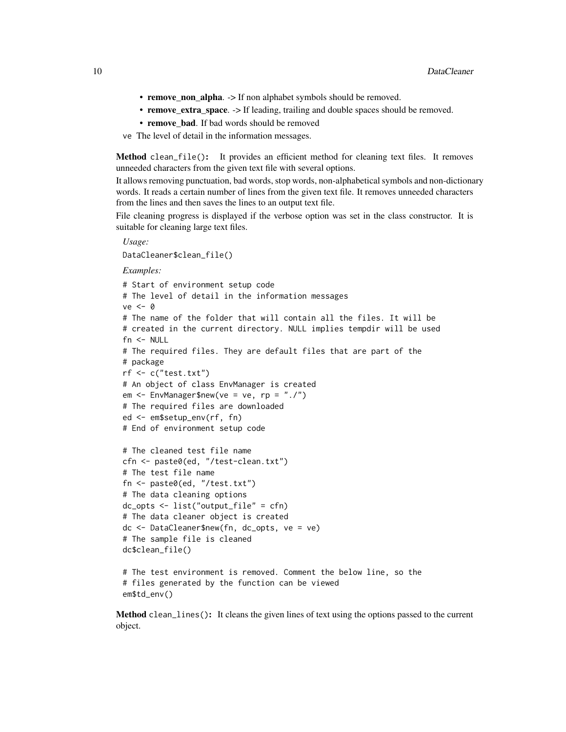- remove\_non\_alpha. -> If non alphabet symbols should be removed.
- remove\_extra\_space. -> If leading, trailing and double spaces should be removed.
- remove bad. If bad words should be removed
- ve The level of detail in the information messages.

<span id="page-9-0"></span>Method clean\_file(): It provides an efficient method for cleaning text files. It removes unneeded characters from the given text file with several options.

It allows removing punctuation, bad words, stop words, non-alphabetical symbols and non-dictionary words. It reads a certain number of lines from the given text file. It removes unneeded characters from the lines and then saves the lines to an output text file.

File cleaning progress is displayed if the verbose option was set in the class constructor. It is suitable for cleaning large text files.

```
Usage:
DataCleaner$clean_file()
Examples:
# Start of environment setup code
# The level of detail in the information messages
ve < - \theta# The name of the folder that will contain all the files. It will be
# created in the current directory. NULL implies tempdir will be used
fn <- NULL
# The required files. They are default files that are part of the
# package
rf <- c("test.txt")
# An object of class EnvManager is created
em \leq EnvManager$new(ve = ve, rp = "./")
# The required files are downloaded
ed <- em$setup_env(rf, fn)
# End of environment setup code
# The cleaned test file name
cfn <- paste0(ed, "/test-clean.txt")
# The test file name
fn <- paste0(ed, "/test.txt")
# The data cleaning options
dc_opts <- list("output_file" = cfn)
# The data cleaner object is created
dc <- DataCleaner$new(fn, dc_opts, ve = ve)
# The sample file is cleaned
dc$clean_file()
# The test environment is removed. Comment the below line, so the
# files generated by the function can be viewed
```
em\$td\_env()

<span id="page-9-1"></span>Method clean\_lines(): It cleans the given lines of text using the options passed to the current object.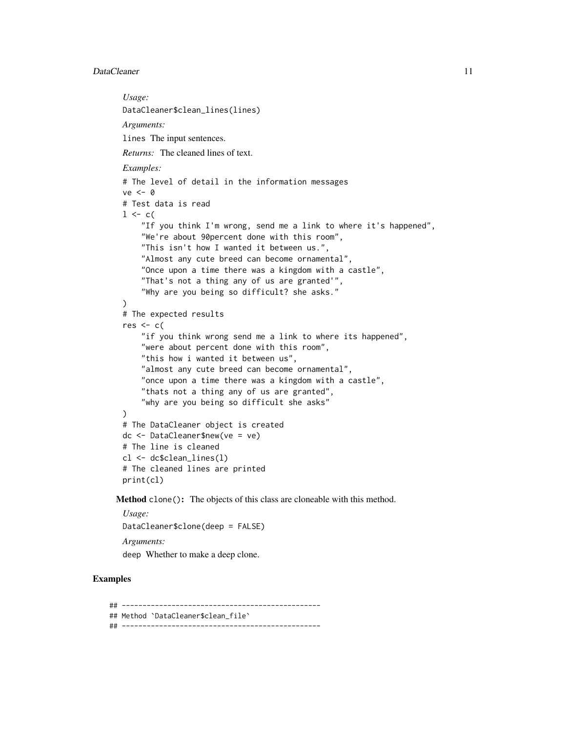#### DataCleaner 11

*Usage:* DataCleaner\$clean\_lines(lines) *Arguments:* lines The input sentences. *Returns:* The cleaned lines of text. *Examples:* # The level of detail in the information messages  $ve < - \theta$ # Test data is read  $1 \leftarrow c($ "If you think I'm wrong, send me a link to where it's happened", "We're about 90percent done with this room", "This isn't how I wanted it between us.", "Almost any cute breed can become ornamental", "Once upon a time there was a kingdom with a castle", "That's not a thing any of us are granted'", "Why are you being so difficult? she asks."  $\lambda$ # The expected results  $res < c$ ( "if you think wrong send me a link to where its happened", "were about percent done with this room", "this how i wanted it between us", "almost any cute breed can become ornamental", "once upon a time there was a kingdom with a castle", "thats not a thing any of us are granted", "why are you being so difficult she asks" ) # The DataCleaner object is created dc <- DataCleaner\$new(ve = ve) # The line is cleaned cl <- dc\$clean\_lines(l) # The cleaned lines are printed print(cl)

Method clone(): The objects of this class are cloneable with this method.

*Usage:* DataCleaner\$clone(deep = FALSE) *Arguments:* deep Whether to make a deep clone.

# Examples

## ------------------------------------------------ ## Method `DataCleaner\$clean\_file` ## ------------------------------------------------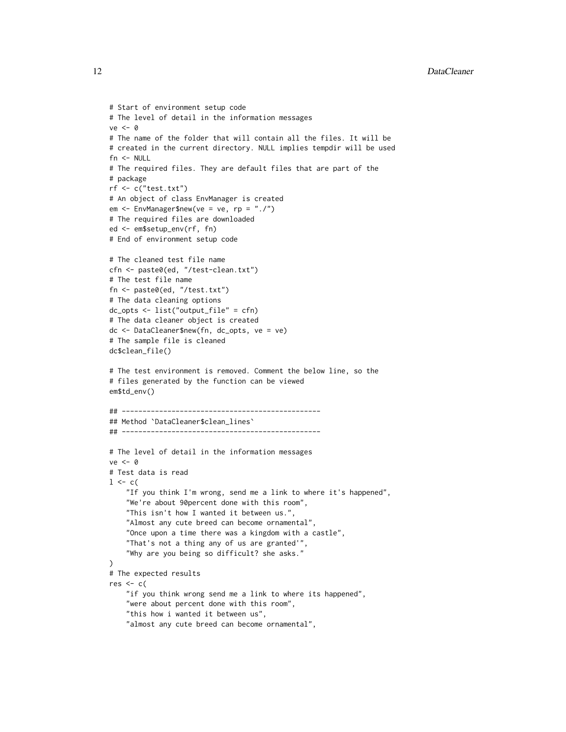```
# Start of environment setup code
# The level of detail in the information messages
ve < - \theta# The name of the folder that will contain all the files. It will be
# created in the current directory. NULL implies tempdir will be used
fn <- NULL
# The required files. They are default files that are part of the
# package
rf <- c("test.txt")
# An object of class EnvManager is created
em <- EnvManager$new(ve = ve, rp = "./")
# The required files are downloaded
ed <- em$setup_env(rf, fn)
# End of environment setup code
# The cleaned test file name
cfn <- paste0(ed, "/test-clean.txt")
# The test file name
fn <- paste0(ed, "/test.txt")
# The data cleaning options
dc_opts <- list("output_file" = cfn)
# The data cleaner object is created
dc <- DataCleaner$new(fn, dc_opts, ve = ve)
# The sample file is cleaned
dc$clean_file()
# The test environment is removed. Comment the below line, so the
# files generated by the function can be viewed
em$td_env()
## ------------------------------------------------
## Method `DataCleaner$clean_lines`
## ------------------------------------------------
# The level of detail in the information messages
ve < - \theta# Test data is read
1 \le -c("If you think I'm wrong, send me a link to where it's happened",
    "We're about 90percent done with this room",
    "This isn't how I wanted it between us.",
    "Almost any cute breed can become ornamental",
    "Once upon a time there was a kingdom with a castle",
    "That's not a thing any of us are granted'",
    "Why are you being so difficult? she asks."
)
# The expected results
res < c(
    "if you think wrong send me a link to where its happened",
    "were about percent done with this room",
    "this how i wanted it between us",
    "almost any cute breed can become ornamental",
```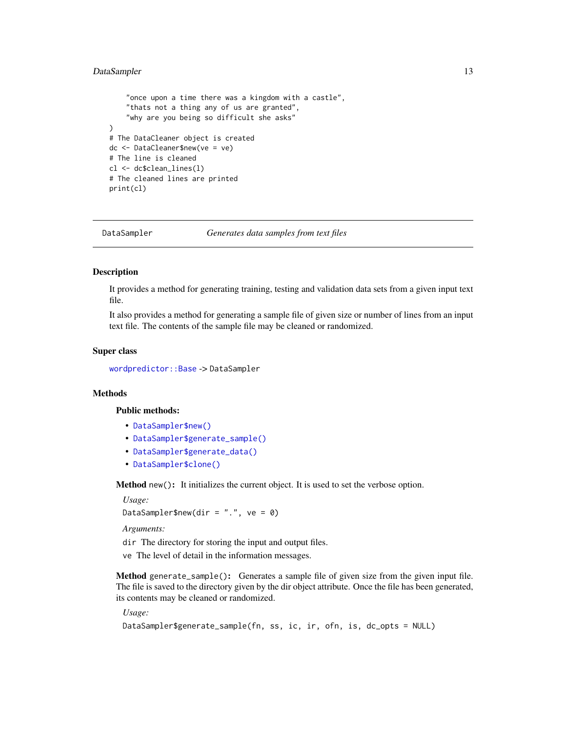# <span id="page-12-0"></span>DataSampler 13

```
"once upon a time there was a kingdom with a castle",
    "thats not a thing any of us are granted",
    "why are you being so difficult she asks"
\lambda# The DataCleaner object is created
dc <- DataCleaner$new(ve = ve)
# The line is cleaned
cl <- dc$clean_lines(l)
# The cleaned lines are printed
print(cl)
```
DataSampler *Generates data samples from text files*

#### Description

It provides a method for generating training, testing and validation data sets from a given input text file.

It also provides a method for generating a sample file of given size or number of lines from an input text file. The contents of the sample file may be cleaned or randomized.

#### Super class

[wordpredictor::Base](#page-0-0) -> DataSampler

# Methods

# Public methods:

- [DataSampler\\$new\(\)](#page-1-1)
- [DataSampler\\$generate\\_sample\(\)](#page-12-1)
- [DataSampler\\$generate\\_data\(\)](#page-13-0)
- [DataSampler\\$clone\(\)](#page-2-1)

Method new(): It initializes the current object. It is used to set the verbose option.

*Usage:*

DataSampler\$new(dir = ".",  $ve = 0$ )

*Arguments:*

dir The directory for storing the input and output files.

ve The level of detail in the information messages.

<span id="page-12-1"></span>Method generate\_sample(): Generates a sample file of given size from the given input file. The file is saved to the directory given by the dir object attribute. Once the file has been generated, its contents may be cleaned or randomized.

*Usage:*

```
DataSampler$generate_sample(fn, ss, ic, ir, ofn, is, dc_opts = NULL)
```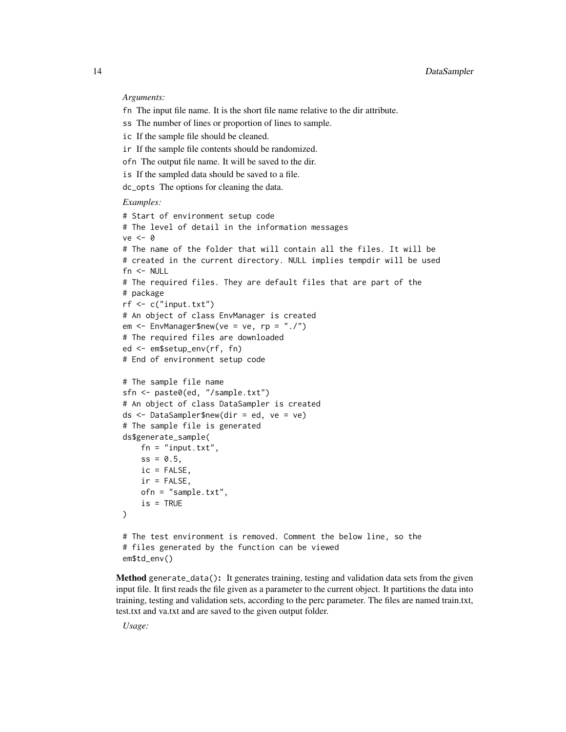*Arguments:*

- fn The input file name. It is the short file name relative to the dir attribute.
- ss The number of lines or proportion of lines to sample.
- ic If the sample file should be cleaned.
- ir If the sample file contents should be randomized.
- ofn The output file name. It will be saved to the dir.
- is If the sampled data should be saved to a file.
- dc\_opts The options for cleaning the data.

#### *Examples:*

```
# Start of environment setup code
# The level of detail in the information messages
ve <- 0
# The name of the folder that will contain all the files. It will be
# created in the current directory. NULL implies tempdir will be used
fn <- NULL
# The required files. They are default files that are part of the
# package
rf <- c("input.txt")
# An object of class EnvManager is created
em \leq EnvManager$new(ve = ve, rp = "./")
# The required files are downloaded
ed <- em$setup_env(rf, fn)
# End of environment setup code
# The sample file name
sfn <- paste0(ed, "/sample.txt")
# An object of class DataSampler is created
ds <- DataSampler$new(dir = ed, ve = ve)
# The sample file is generated
ds$generate_sample(
    fn = "input.txt",ss = 0.5,
    ic = FALSE,
    ir = FALSE,ofn = "sample.txt",
    is = TRUE\lambda# The test environment is removed. Comment the below line, so the
# files generated by the function can be viewed
em$td_env()
```
<span id="page-13-0"></span>Method generate\_data(): It generates training, testing and validation data sets from the given input file. It first reads the file given as a parameter to the current object. It partitions the data into training, testing and validation sets, according to the perc parameter. The files are named train.txt, test.txt and va.txt and are saved to the given output folder.

*Usage:*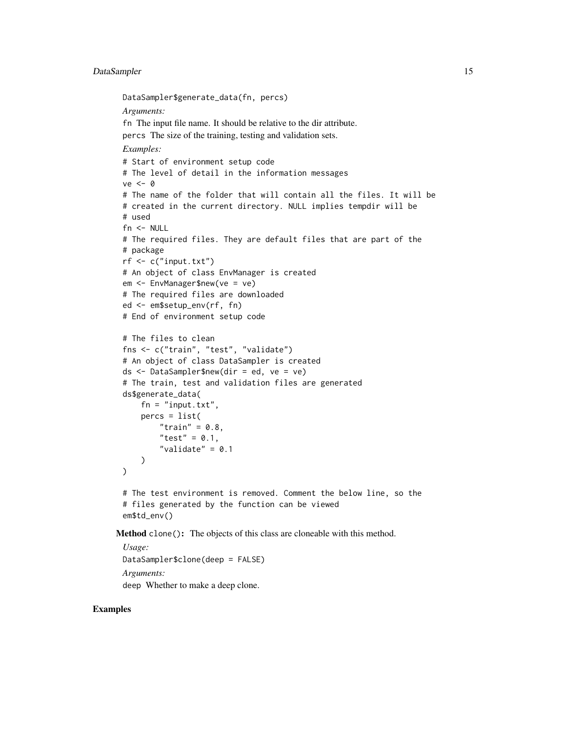# DataSampler 15

```
DataSampler$generate_data(fn, percs)
 Arguments:
 fn The input file name. It should be relative to the dir attribute.
 percs The size of the training, testing and validation sets.
 Examples:
 # Start of environment setup code
 # The level of detail in the information messages
 ve < - \theta# The name of the folder that will contain all the files. It will be
 # created in the current directory. NULL implies tempdir will be
 # used
 fn < - NULL
 # The required files. They are default files that are part of the
 # package
 rf \leftarrow c("input.txt")# An object of class EnvManager is created
 em <- EnvManager$new(ve = ve)
 # The required files are downloaded
 ed <- em$setup_env(rf, fn)
 # End of environment setup code
 # The files to clean
 fns <- c("train", "test", "validate")
 # An object of class DataSampler is created
 ds <- DataSampler$new(dir = ed, ve = ve)
 # The train, test and validation files are generated
 ds$generate_data(
     fn = "input.txt",percs = list(
          "train" = 0.8,
          "test" = 0.1,
          "validate" = 0.1)
 )
 # The test environment is removed. Comment the below line, so the
 # files generated by the function can be viewed
 em$td_env()
Method clone(): The objects of this class are cloneable with this method.
 Usage:
 DataSampler$clone(deep = FALSE)
```
*Arguments:*

deep Whether to make a deep clone.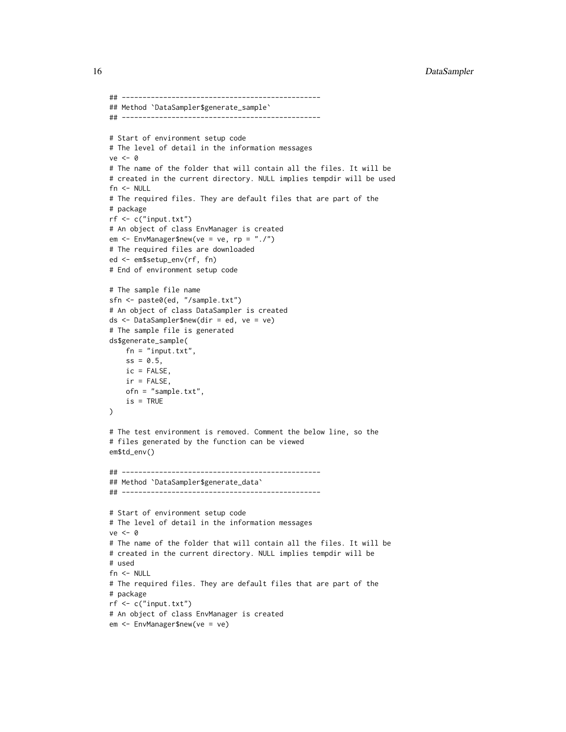```
## ------------------------------------------------
## Method `DataSampler$generate_sample`
## ------------------------------------------------
# Start of environment setup code
# The level of detail in the information messages
ve <- 0
# The name of the folder that will contain all the files. It will be
# created in the current directory. NULL implies tempdir will be used
fn <- NULL
# The required files. They are default files that are part of the
# package
rf <- c("input.txt")
# An object of class EnvManager is created
em <- EnvManager$new(ve = ve, rp = "./")
# The required files are downloaded
ed <- em$setup_env(rf, fn)
# End of environment setup code
# The sample file name
sfn <- paste0(ed, "/sample.txt")
# An object of class DataSampler is created
ds <- DataSampler$new(dir = ed, ve = ve)
# The sample file is generated
ds$generate_sample(
   fn = "input.txt",ss = 0.5,
    ic = FALSE,
    ir = FALSE,ofn = "sample.txt",
    is = TRUE)
# The test environment is removed. Comment the below line, so the
# files generated by the function can be viewed
em$td_env()
## ------------------------------------------------
## Method `DataSampler$generate_data`
## ------------------------------------------------
# Start of environment setup code
# The level of detail in the information messages
ve <- 0
# The name of the folder that will contain all the files. It will be
# created in the current directory. NULL implies tempdir will be
# used
fn <- NULL
# The required files. They are default files that are part of the
# package
rf <- c("input.txt")
# An object of class EnvManager is created
em <- EnvManager$new(ve = ve)
```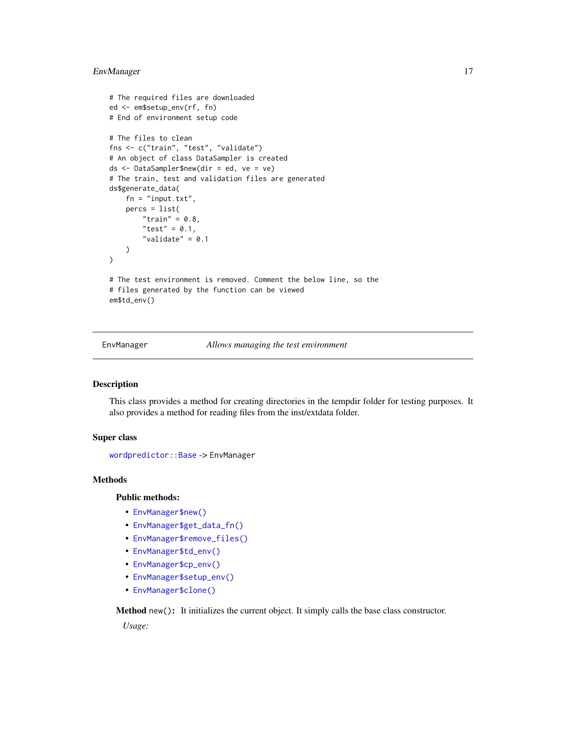# <span id="page-16-0"></span>EnvManager 17

```
# The required files are downloaded
ed <- em$setup_env(rf, fn)
# End of environment setup code
# The files to clean
fns <- c("train", "test", "validate")
# An object of class DataSampler is created
ds <- DataSampler$new(dir = ed, ve = ve)
# The train, test and validation files are generated
ds$generate_data(
   fn = "input.txt",percs = list(
        "train" = 0.8,
        "test" = 0.1,
        "validate" = 0.1)
\mathcal{L}# The test environment is removed. Comment the below line, so the
# files generated by the function can be viewed
em$td_env()
```
EnvManager *Allows managing the test environment*

#### Description

This class provides a method for creating directories in the tempdir folder for testing purposes. It also provides a method for reading files from the inst/extdata folder.

# Super class

[wordpredictor::Base](#page-0-0) -> EnvManager

#### Methods

#### Public methods:

- [EnvManager\\$new\(\)](#page-1-1)
- [EnvManager\\$get\\_data\\_fn\(\)](#page-17-0)
- [EnvManager\\$remove\\_files\(\)](#page-17-1)
- [EnvManager\\$td\\_env\(\)](#page-17-2)
- [EnvManager\\$cp\\_env\(\)](#page-17-3)
- [EnvManager\\$setup\\_env\(\)](#page-17-4)
- [EnvManager\\$clone\(\)](#page-2-1)

Method new(): It initializes the current object. It simply calls the base class constructor. *Usage:*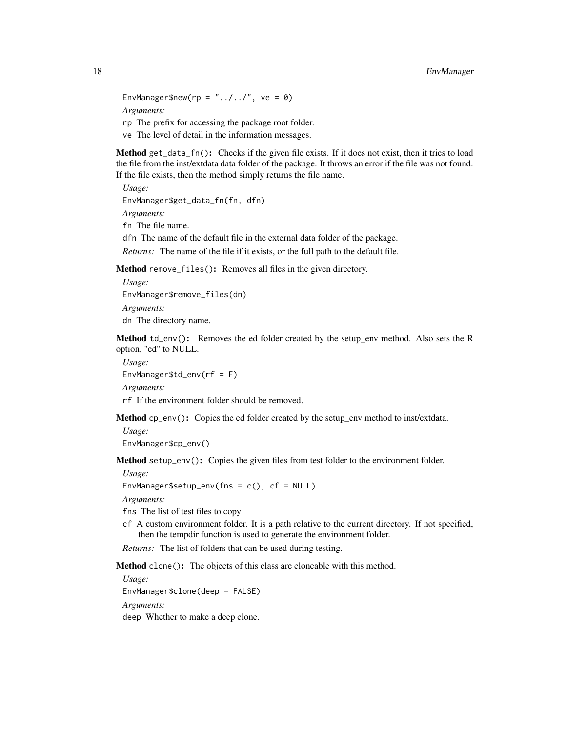EnvManager\$new(rp = " $\dots/$ ../", ve = 0) *Arguments:* rp The prefix for accessing the package root folder.

ve The level of detail in the information messages.

<span id="page-17-0"></span>Method get\_data\_fn(): Checks if the given file exists. If it does not exist, then it tries to load the file from the inst/extdata data folder of the package. It throws an error if the file was not found. If the file exists, then the method simply returns the file name.

*Usage:* EnvManager\$get\_data\_fn(fn, dfn) *Arguments:* fn The file name. dfn The name of the default file in the external data folder of the package. *Returns:* The name of the file if it exists, or the full path to the default file.

<span id="page-17-1"></span>Method remove\_files(): Removes all files in the given directory.

```
Usage:
EnvManager$remove_files(dn)
Arguments:
dn The directory name.
```
<span id="page-17-2"></span>Method td\_env(): Removes the ed folder created by the setup\_env method. Also sets the R option, "ed" to NULL.

*Usage:* EnvManager\$td\_env(rf = F) *Arguments:*

rf If the environment folder should be removed.

<span id="page-17-3"></span>Method cp\_env(): Copies the ed folder created by the setup\_env method to inst/extdata.

*Usage:* EnvManager\$cp\_env()

<span id="page-17-4"></span>Method setup\_env(): Copies the given files from test folder to the environment folder.

*Usage:*

EnvManager\$setup\_env(fns =  $c()$ , cf = NULL)

*Arguments:*

fns The list of test files to copy

cf A custom environment folder. It is a path relative to the current directory. If not specified, then the tempdir function is used to generate the environment folder.

*Returns:* The list of folders that can be used during testing.

Method clone(): The objects of this class are cloneable with this method.

*Usage:* EnvManager\$clone(deep = FALSE) *Arguments:* deep Whether to make a deep clone.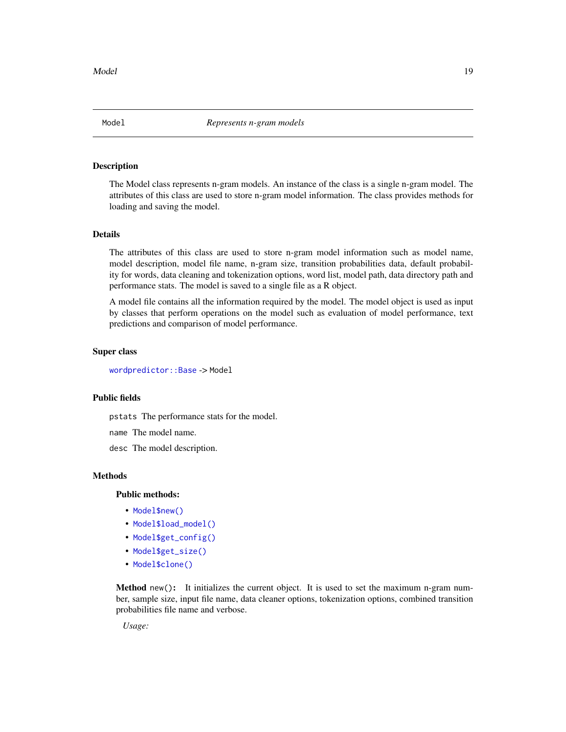<span id="page-18-0"></span>

# Description

The Model class represents n-gram models. An instance of the class is a single n-gram model. The attributes of this class are used to store n-gram model information. The class provides methods for loading and saving the model.

# Details

The attributes of this class are used to store n-gram model information such as model name, model description, model file name, n-gram size, transition probabilities data, default probability for words, data cleaning and tokenization options, word list, model path, data directory path and performance stats. The model is saved to a single file as a R object.

A model file contains all the information required by the model. The model object is used as input by classes that perform operations on the model such as evaluation of model performance, text predictions and comparison of model performance.

#### Super class

[wordpredictor::Base](#page-0-0) -> Model

# Public fields

pstats The performance stats for the model.

name The model name.

desc The model description.

#### Methods

Public methods:

- [Model\\$new\(\)](#page-1-1)
- [Model\\$load\\_model\(\)](#page-19-0)
- [Model\\$get\\_config\(\)](#page-19-1)
- [Model\\$get\\_size\(\)](#page-19-2)
- [Model\\$clone\(\)](#page-2-1)

Method new(): It initializes the current object. It is used to set the maximum n-gram number, sample size, input file name, data cleaner options, tokenization options, combined transition probabilities file name and verbose.

*Usage:*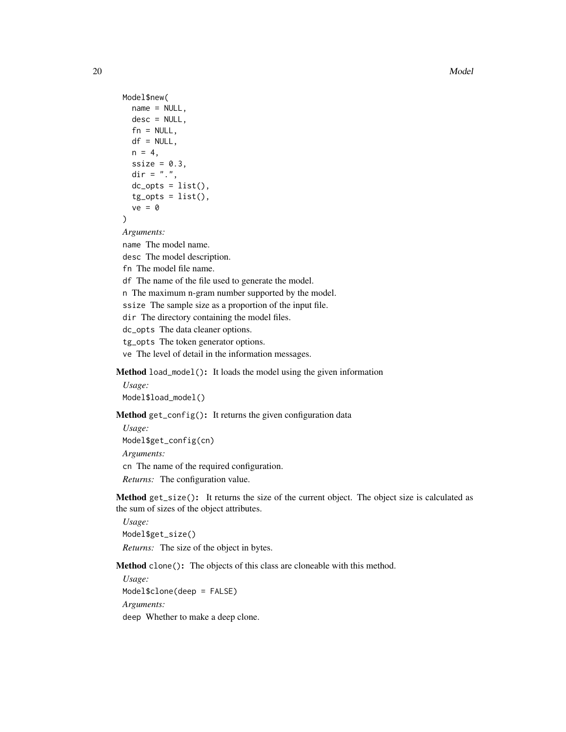```
Model$new(
 name = NULL,desc = NULL,fn = NULL,df = NULL,n = 4,
 ssize = 0.3,
 dir = ".".dc\_opts = list(),
 tg\_opts = list(),
  ve = 0)
```
*Arguments:*

name The model name.

desc The model description.

fn The model file name.

df The name of the file used to generate the model.

n The maximum n-gram number supported by the model.

ssize The sample size as a proportion of the input file.

dir The directory containing the model files.

dc\_opts The data cleaner options.

tg\_opts The token generator options.

ve The level of detail in the information messages.

<span id="page-19-0"></span>Method load\_model(): It loads the model using the given information

*Usage:* Model\$load\_model()

<span id="page-19-1"></span>Method get\_config(): It returns the given configuration data

*Usage:* Model\$get\_config(cn) *Arguments:* cn The name of the required configuration.

*Returns:* The configuration value.

<span id="page-19-2"></span>Method get\_size(): It returns the size of the current object. The object size is calculated as the sum of sizes of the object attributes.

*Usage:* Model\$get\_size() *Returns:* The size of the object in bytes.

Method clone(): The objects of this class are cloneable with this method.

*Usage:* Model\$clone(deep = FALSE) *Arguments:* deep Whether to make a deep clone.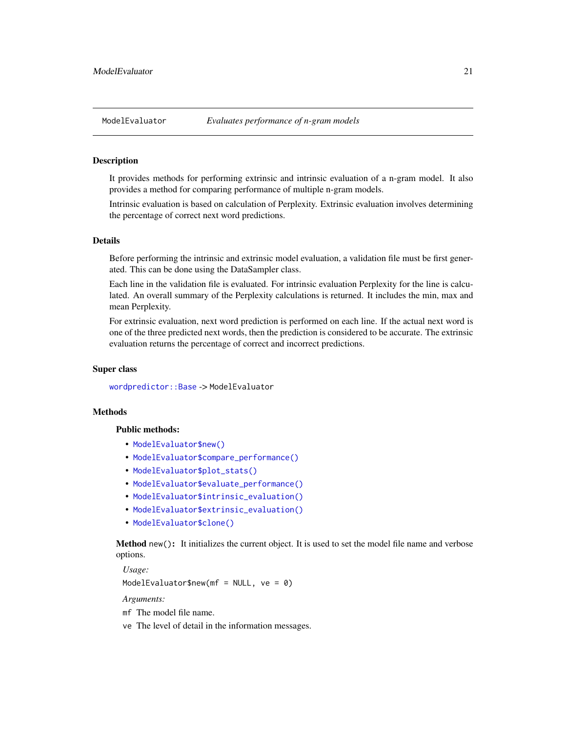#### <span id="page-20-0"></span>Description

It provides methods for performing extrinsic and intrinsic evaluation of a n-gram model. It also provides a method for comparing performance of multiple n-gram models.

Intrinsic evaluation is based on calculation of Perplexity. Extrinsic evaluation involves determining the percentage of correct next word predictions.

# Details

Before performing the intrinsic and extrinsic model evaluation, a validation file must be first generated. This can be done using the DataSampler class.

Each line in the validation file is evaluated. For intrinsic evaluation Perplexity for the line is calculated. An overall summary of the Perplexity calculations is returned. It includes the min, max and mean Perplexity.

For extrinsic evaluation, next word prediction is performed on each line. If the actual next word is one of the three predicted next words, then the prediction is considered to be accurate. The extrinsic evaluation returns the percentage of correct and incorrect predictions.

#### Super class

[wordpredictor::Base](#page-0-0) -> ModelEvaluator

# Methods

#### Public methods:

- [ModelEvaluator\\$new\(\)](#page-1-1)
- [ModelEvaluator\\$compare\\_performance\(\)](#page-20-1)
- [ModelEvaluator\\$plot\\_stats\(\)](#page-21-0)
- [ModelEvaluator\\$evaluate\\_performance\(\)](#page-22-0)
- [ModelEvaluator\\$intrinsic\\_evaluation\(\)](#page-23-0)
- [ModelEvaluator\\$extrinsic\\_evaluation\(\)](#page-23-1)
- [ModelEvaluator\\$clone\(\)](#page-2-1)

Method new(): It initializes the current object. It is used to set the model file name and verbose options.

*Usage:*

ModelEvaluator\$new(mf = NULL,  $ve = 0$ )

*Arguments:*

mf The model file name.

<span id="page-20-1"></span>ve The level of detail in the information messages.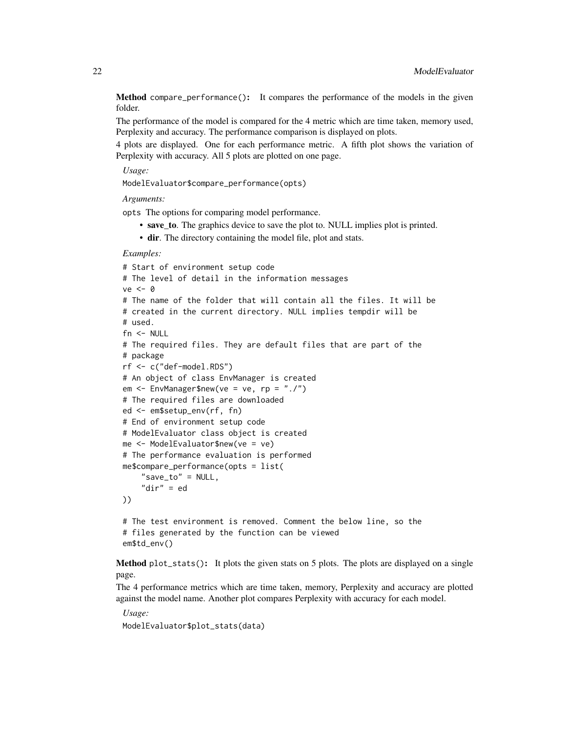Method compare\_performance(): It compares the performance of the models in the given folder.

The performance of the model is compared for the 4 metric which are time taken, memory used, Perplexity and accuracy. The performance comparison is displayed on plots.

4 plots are displayed. One for each performance metric. A fifth plot shows the variation of Perplexity with accuracy. All 5 plots are plotted on one page.

*Usage:*

ModelEvaluator\$compare\_performance(opts)

*Arguments:*

opts The options for comparing model performance.

- save to. The graphics device to save the plot to. NULL implies plot is printed.
- dir. The directory containing the model file, plot and stats.

*Examples:*

```
# Start of environment setup code
# The level of detail in the information messages
ve <- 0
# The name of the folder that will contain all the files. It will be
# created in the current directory. NULL implies tempdir will be
# used.
fn < - NULL
# The required files. They are default files that are part of the
# package
rf <- c("def-model.RDS")
# An object of class EnvManager is created
em \leq EnvManager$new(ve = ve, rp = "./")
# The required files are downloaded
ed <- em$setup_env(rf, fn)
# End of environment setup code
# ModelEvaluator class object is created
me <- ModelEvaluator$new(ve = ve)
# The performance evaluation is performed
me$compare_performance(opts = list(
    "save_to" = NULL,
    "dir" = ed
))
# The test environment is removed. Comment the below line, so the
# files generated by the function can be viewed
```
em\$td\_env()

<span id="page-21-0"></span>Method plot\_stats(): It plots the given stats on 5 plots. The plots are displayed on a single page.

The 4 performance metrics which are time taken, memory, Perplexity and accuracy are plotted against the model name. Another plot compares Perplexity with accuracy for each model.

*Usage:* ModelEvaluator\$plot\_stats(data)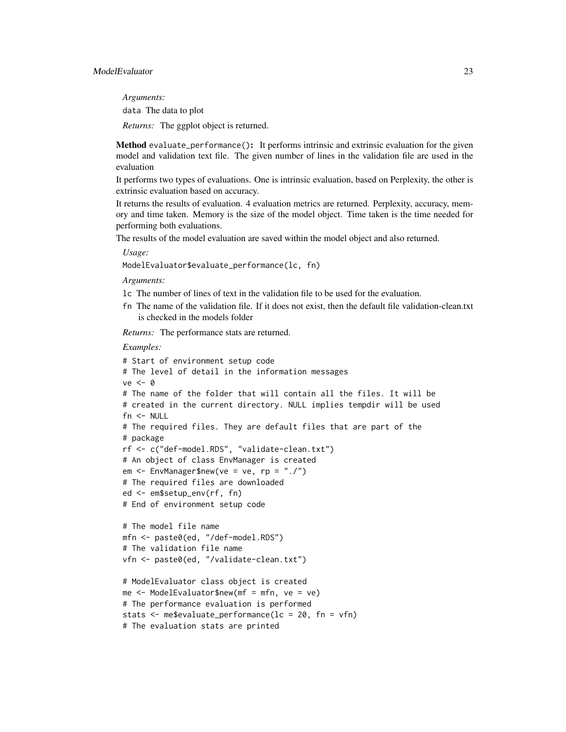*Arguments:*

data The data to plot

*Returns:* The ggplot object is returned.

<span id="page-22-0"></span>Method evaluate\_performance(): It performs intrinsic and extrinsic evaluation for the given model and validation text file. The given number of lines in the validation file are used in the evaluation

It performs two types of evaluations. One is intrinsic evaluation, based on Perplexity, the other is extrinsic evaluation based on accuracy.

It returns the results of evaluation. 4 evaluation metrics are returned. Perplexity, accuracy, memory and time taken. Memory is the size of the model object. Time taken is the time needed for performing both evaluations.

The results of the model evaluation are saved within the model object and also returned.

*Usage:*

ModelEvaluator\$evaluate\_performance(lc, fn)

*Arguments:*

- lc The number of lines of text in the validation file to be used for the evaluation.
- fn The name of the validation file. If it does not exist, then the default file validation-clean.txt is checked in the models folder

*Returns:* The performance stats are returned.

```
# Start of environment setup code
# The level of detail in the information messages
ve < - \theta# The name of the folder that will contain all the files. It will be
# created in the current directory. NULL implies tempdir will be used
fn <- NULL
# The required files. They are default files that are part of the
# package
rf <- c("def-model.RDS", "validate-clean.txt")
# An object of class EnvManager is created
em \leq EnvManager$new(ve = ve, rp = "./")
# The required files are downloaded
ed <- em$setup_env(rf, fn)
# End of environment setup code
# The model file name
mfn <- paste0(ed, "/def-model.RDS")
# The validation file name
```

```
vfn <- paste0(ed, "/validate-clean.txt")
```

```
# ModelEvaluator class object is created
me < - ModelEvaluator$new(mf = mfn, ve = ve)
# The performance evaluation is performed
stats <- me$evaluate_performance(lc = 20, fn = vfn)
# The evaluation stats are printed
```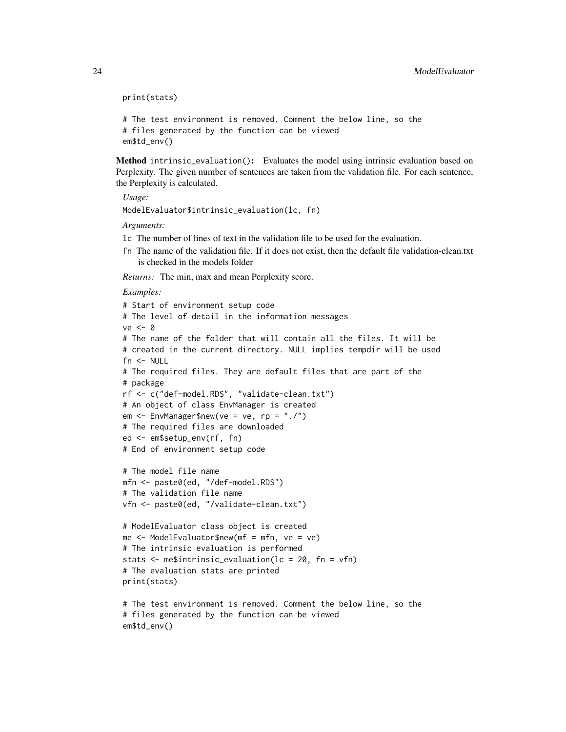```
print(stats)
# The test environment is removed. Comment the below line, so the
# files generated by the function can be viewed
em$td_env()
```
<span id="page-23-0"></span>Method intrinsic\_evaluation(): Evaluates the model using intrinsic evaluation based on Perplexity. The given number of sentences are taken from the validation file. For each sentence, the Perplexity is calculated.

*Usage:* ModelEvaluator\$intrinsic\_evaluation(lc, fn)

*Arguments:*

- lc The number of lines of text in the validation file to be used for the evaluation.
- fn The name of the validation file. If it does not exist, then the default file validation-clean.txt is checked in the models folder

*Returns:* The min, max and mean Perplexity score.

```
Examples:
```

```
# Start of environment setup code
# The level of detail in the information messages
ve < - \theta# The name of the folder that will contain all the files. It will be
# created in the current directory. NULL implies tempdir will be used
fn <- NULL
# The required files. They are default files that are part of the
# package
rf <- c("def-model.RDS", "validate-clean.txt")
# An object of class EnvManager is created
em \leq EnvManager$new(ve = ve, rp = "./")
# The required files are downloaded
ed <- em$setup_env(rf, fn)
# End of environment setup code
# The model file name
mfn <- paste0(ed, "/def-model.RDS")
```

```
# The validation file name
vfn <- paste0(ed, "/validate-clean.txt")
```

```
# ModelEvaluator class object is created
me <- ModelEvaluator$new(mf = mfn, ve = ve)
# The intrinsic evaluation is performed
stats <- me$intrinsic_evaluation(lc = 20, fn = vfn)
# The evaluation stats are printed
print(stats)
```

```
# The test environment is removed. Comment the below line, so the
# files generated by the function can be viewed
em$td_env()
```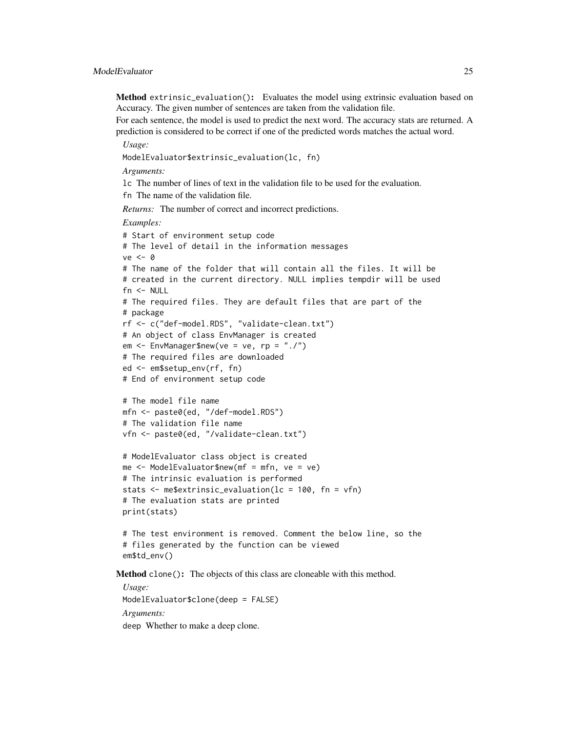# ModelEvaluator 25

Method extrinsic\_evaluation(): Evaluates the model using extrinsic evaluation based on Accuracy. The given number of sentences are taken from the validation file.

For each sentence, the model is used to predict the next word. The accuracy stats are returned. A prediction is considered to be correct if one of the predicted words matches the actual word.

*Usage:*

ModelEvaluator\$extrinsic\_evaluation(lc, fn)

*Arguments:*

lc The number of lines of text in the validation file to be used for the evaluation.

fn The name of the validation file.

*Returns:* The number of correct and incorrect predictions.

*Examples:*

```
# Start of environment setup code
# The level of detail in the information messages
ve <- 0
# The name of the folder that will contain all the files. It will be
# created in the current directory. NULL implies tempdir will be used
fn <- NULL
# The required files. They are default files that are part of the
# package
rf <- c("def-model.RDS", "validate-clean.txt")
# An object of class EnvManager is created
em \leq EnvManager$new(ve = ve, rp = "./")
# The required files are downloaded
ed <- em$setup_env(rf, fn)
# End of environment setup code
# The model file name
```

```
mfn <- paste0(ed, "/def-model.RDS")
# The validation file name
vfn <- paste0(ed, "/validate-clean.txt")
```

```
# ModelEvaluator class object is created
me < - ModelEvaluator$new(mf = mfn, ve = ve)
# The intrinsic evaluation is performed
stats \leq me$extrinsic_evaluation(lc = 100, fn = vfn)
# The evaluation stats are printed
print(stats)
```

```
# The test environment is removed. Comment the below line, so the
# files generated by the function can be viewed
em$td_env()
```
Method clone(): The objects of this class are cloneable with this method.

*Usage:* ModelEvaluator\$clone(deep = FALSE) *Arguments:* deep Whether to make a deep clone.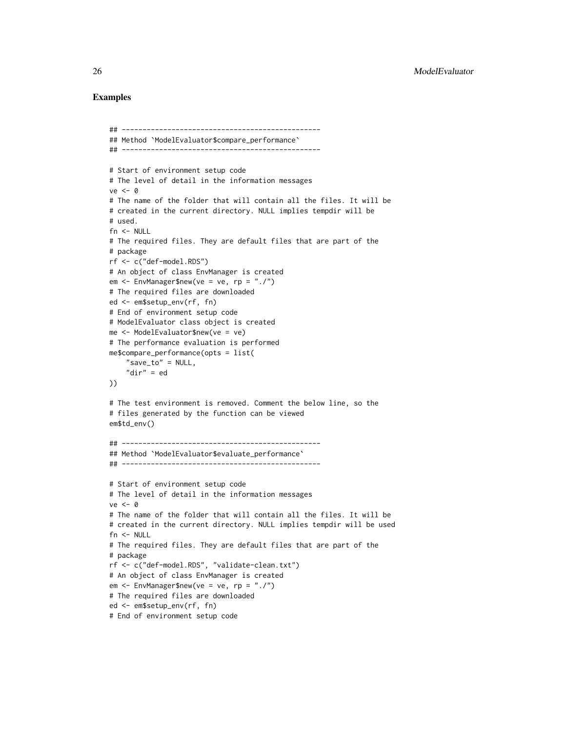```
## ------------------------------------------------
## Method `ModelEvaluator$compare_performance`
## ------------------------------------------------
# Start of environment setup code
# The level of detail in the information messages
ve < - \theta# The name of the folder that will contain all the files. It will be
# created in the current directory. NULL implies tempdir will be
# used.
fn <- NULL
# The required files. They are default files that are part of the
# package
rf <- c("def-model.RDS")
# An object of class EnvManager is created
em <- EnvManager$new(ve = ve, rp = "./")
# The required files are downloaded
ed <- em$setup_env(rf, fn)
# End of environment setup code
# ModelEvaluator class object is created
me <- ModelEvaluator$new(ve = ve)
# The performance evaluation is performed
me$compare_performance(opts = list(
    "save_to" = NULL,
    "dir" = ed))
# The test environment is removed. Comment the below line, so the
# files generated by the function can be viewed
em$td_env()
## ------------------------------------------------
## Method `ModelEvaluator$evaluate_performance`
## ------------------------------------------------
# Start of environment setup code
# The level of detail in the information messages
ve < - \theta# The name of the folder that will contain all the files. It will be
# created in the current directory. NULL implies tempdir will be used
fn <- NULL
# The required files. They are default files that are part of the
# package
rf <- c("def-model.RDS", "validate-clean.txt")
# An object of class EnvManager is created
em <- EnvManager$new(ve = ve, rp = "./")
# The required files are downloaded
ed <- em$setup_env(rf, fn)
# End of environment setup code
```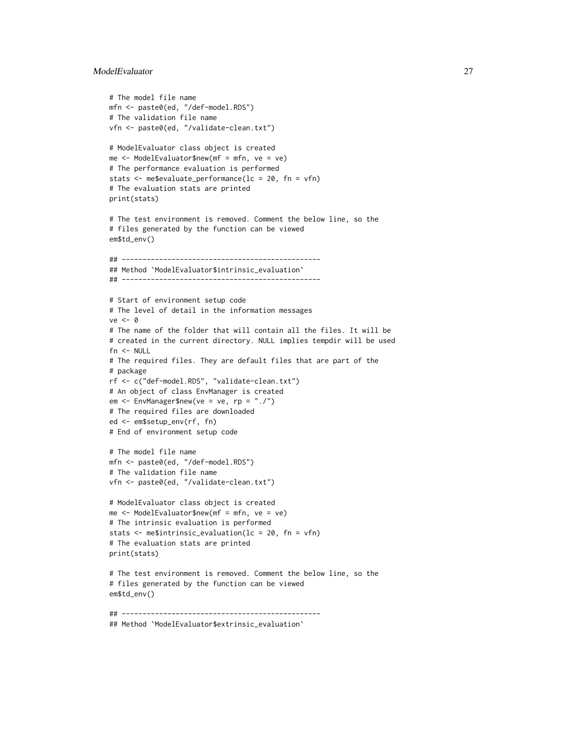# ModelEvaluator 27

```
# The model file name
mfn <- paste0(ed, "/def-model.RDS")
# The validation file name
vfn <- paste0(ed, "/validate-clean.txt")
# ModelEvaluator class object is created
me < - ModelEvaluator$new(mf = mfn, ve = ve)
# The performance evaluation is performed
stats <- me$evaluate_performance(lc = 20, fn = vfn)
# The evaluation stats are printed
print(stats)
# The test environment is removed. Comment the below line, so the
# files generated by the function can be viewed
em$td_env()
## ------------------------------------------------
## Method `ModelEvaluator$intrinsic_evaluation`
## ------------------------------------------------
# Start of environment setup code
# The level of detail in the information messages
ve < - \theta# The name of the folder that will contain all the files. It will be
# created in the current directory. NULL implies tempdir will be used
fn <- NULL
# The required files. They are default files that are part of the
# package
rf <- c("def-model.RDS", "validate-clean.txt")
# An object of class EnvManager is created
em <- EnvManager$new(ve = ve, rp = "./")
# The required files are downloaded
ed <- em$setup_env(rf, fn)
# End of environment setup code
# The model file name
mfn <- paste0(ed, "/def-model.RDS")
# The validation file name
vfn <- paste0(ed, "/validate-clean.txt")
# ModelEvaluator class object is created
me < - ModelEvaluator$new(mf = mfn, ve = ve)
# The intrinsic evaluation is performed
stats <- me$intrinsic_evaluation(lc = 20, fn = vfn)
# The evaluation stats are printed
print(stats)
# The test environment is removed. Comment the below line, so the
# files generated by the function can be viewed
em$td_env()
## ------------------------------------------------
## Method `ModelEvaluator$extrinsic_evaluation`
```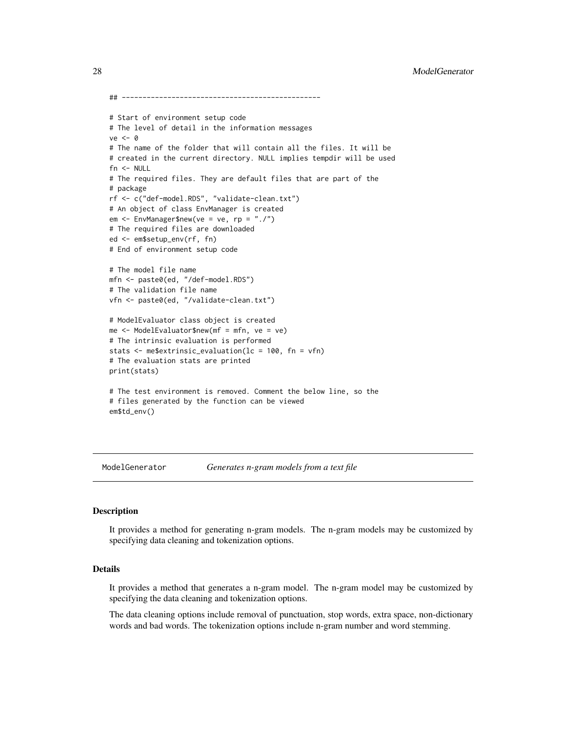```
## ------------------------------------------------
# Start of environment setup code
# The level of detail in the information messages
ve < - \theta# The name of the folder that will contain all the files. It will be
# created in the current directory. NULL implies tempdir will be used
fn <- NULL
# The required files. They are default files that are part of the
# package
rf <- c("def-model.RDS", "validate-clean.txt")
# An object of class EnvManager is created
em <- EnvManager$new(ve = ve, rp = "./")
# The required files are downloaded
ed <- em$setup_env(rf, fn)
# End of environment setup code
# The model file name
mfn <- paste0(ed, "/def-model.RDS")
# The validation file name
vfn <- paste0(ed, "/validate-clean.txt")
# ModelEvaluator class object is created
me <- ModelEvaluator$new(mf = mfn, ve = ve)
# The intrinsic evaluation is performed
stats <- me$extrinsic_evaluation(lc = 100, fn = vfn)
# The evaluation stats are printed
print(stats)
# The test environment is removed. Comment the below line, so the
# files generated by the function can be viewed
em$td_env()
```
ModelGenerator *Generates n-gram models from a text file*

# Description

It provides a method for generating n-gram models. The n-gram models may be customized by specifying data cleaning and tokenization options.

# Details

It provides a method that generates a n-gram model. The n-gram model may be customized by specifying the data cleaning and tokenization options.

The data cleaning options include removal of punctuation, stop words, extra space, non-dictionary words and bad words. The tokenization options include n-gram number and word stemming.

<span id="page-27-0"></span>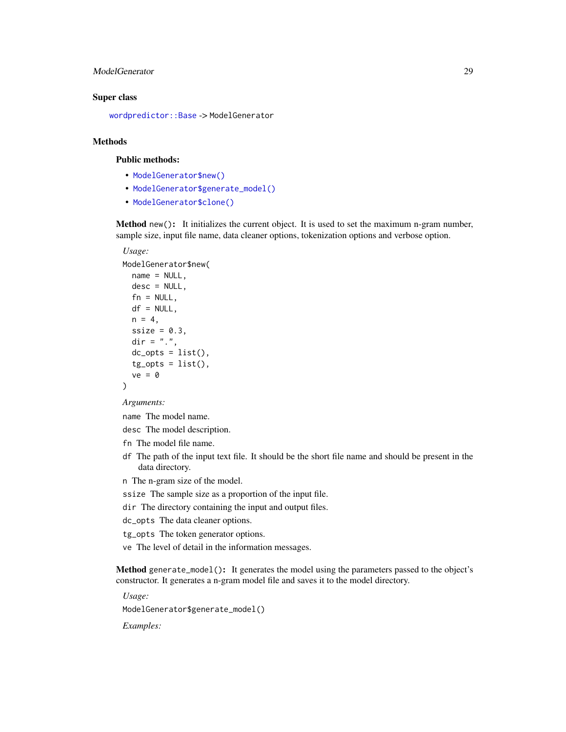# <span id="page-28-1"></span>ModelGenerator 29

#### Super class

[wordpredictor::Base](#page-0-0) -> ModelGenerator

# Methods

# Public methods:

- [ModelGenerator\\$new\(\)](#page-1-1)
- [ModelGenerator\\$generate\\_model\(\)](#page-28-0)
- [ModelGenerator\\$clone\(\)](#page-2-1)

Method new(): It initializes the current object. It is used to set the maximum n-gram number, sample size, input file name, data cleaner options, tokenization options and verbose option.

#### *Usage:*

```
ModelGenerator$new(
 name = NULL,desc = NULL,fn = NULL,df = NULL,n = 4,
  ssize = 0.3,
 dir = ".".dc\_opts = list(),
  tg\_opts = list(),
  ve = 0)
```
*Arguments:*

name The model name.

desc The model description.

- fn The model file name.
- df The path of the input text file. It should be the short file name and should be present in the data directory.

n The n-gram size of the model.

- ssize The sample size as a proportion of the input file.
- dir The directory containing the input and output files.
- dc\_opts The data cleaner options.

tg\_opts The token generator options.

ve The level of detail in the information messages.

<span id="page-28-0"></span>Method generate\_model(): It generates the model using the parameters passed to the object's constructor. It generates a n-gram model file and saves it to the model directory.

*Usage:*

ModelGenerator\$generate\_model()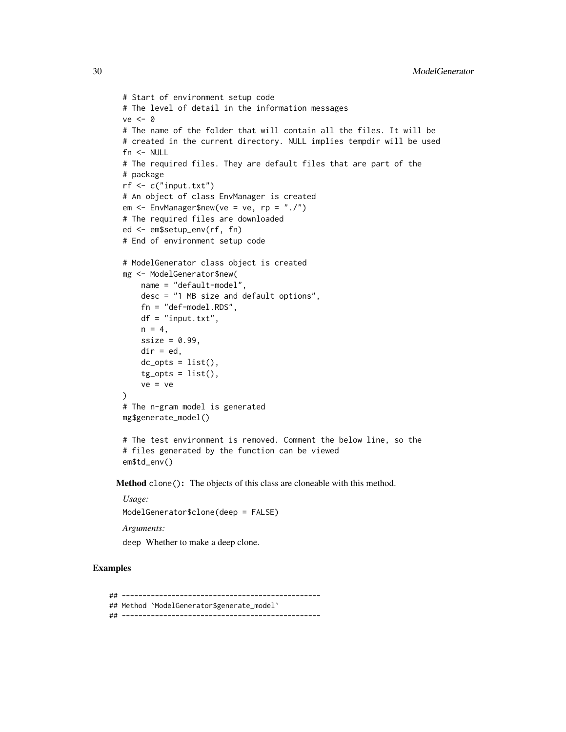```
# Start of environment setup code
# The level of detail in the information messages
ve < - \theta# The name of the folder that will contain all the files. It will be
# created in the current directory. NULL implies tempdir will be used
fn <- NULL
# The required files. They are default files that are part of the
# package
rf <- c("input.txt")
# An object of class EnvManager is created
em <- EnvManager$new(ve = ve, rp = "./")
# The required files are downloaded
ed <- em$setup_env(rf, fn)
# End of environment setup code
# ModelGenerator class object is created
mg <- ModelGenerator$new(
    name = "default-model",
    desc = "1 MB size and default options",
    fn = "def-model.RDS",
    df = "input.txt",n = 4,
    ssize = 0.99,
    dir = ed,
    dc\_opts = list(),
    tg\_opts = list(),
    ve = ve)
# The n-gram model is generated
mg$generate_model()
```

```
# The test environment is removed. Comment the below line, so the
# files generated by the function can be viewed
em$td_env()
```
Method clone(): The objects of this class are cloneable with this method.

*Usage:* ModelGenerator\$clone(deep = FALSE)

*Arguments:*

deep Whether to make a deep clone.

# Examples

## ------------------------------------------------ ## Method `ModelGenerator\$generate\_model` ## ------------------------------------------------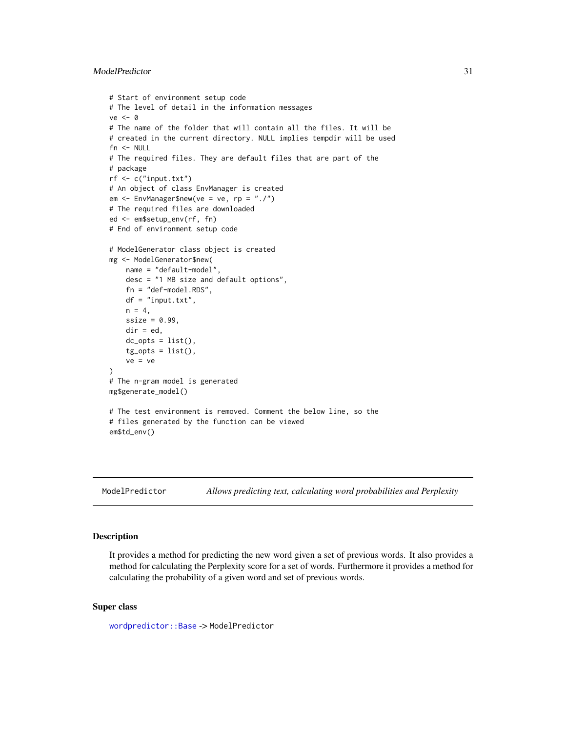# <span id="page-30-0"></span>ModelPredictor 31

```
# Start of environment setup code
# The level of detail in the information messages
ve < - \theta# The name of the folder that will contain all the files. It will be
# created in the current directory. NULL implies tempdir will be used
fn <- NULL
# The required files. They are default files that are part of the
# package
rf \leftarrow c("input.txt")# An object of class EnvManager is created
em <- EnvManager$new(ve = ve, rp = "./")
# The required files are downloaded
ed <- em$setup_env(rf, fn)
# End of environment setup code
# ModelGenerator class object is created
mg <- ModelGenerator$new(
   name = "default-model",
   desc = "1 MB size and default options",
   fn = "def-model.RDS",
   df = "input.txt",
   n = 4,
    ssize = 0.99,
    dir = ed,dc\_opts = list(),
    tg\_opts = list(),
    ve = ve)
# The n-gram model is generated
mg$generate_model()
# The test environment is removed. Comment the below line, so the
# files generated by the function can be viewed
em$td_env()
```
ModelPredictor *Allows predicting text, calculating word probabilities and Perplexity*

# Description

It provides a method for predicting the new word given a set of previous words. It also provides a method for calculating the Perplexity score for a set of words. Furthermore it provides a method for calculating the probability of a given word and set of previous words.

#### Super class

[wordpredictor::Base](#page-0-0) -> ModelPredictor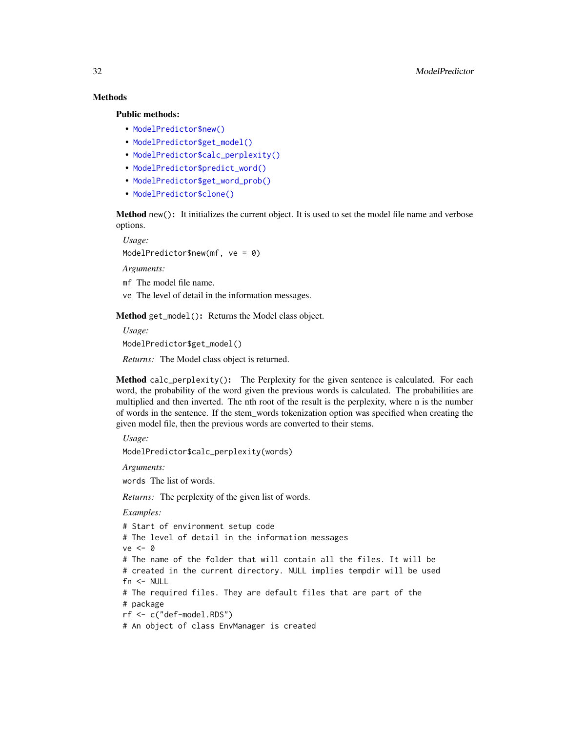# Methods

#### Public methods:

- [ModelPredictor\\$new\(\)](#page-1-1)
- [ModelPredictor\\$get\\_model\(\)](#page-31-0)
- [ModelPredictor\\$calc\\_perplexity\(\)](#page-31-1)
- [ModelPredictor\\$predict\\_word\(\)](#page-32-0)
- [ModelPredictor\\$get\\_word\\_prob\(\)](#page-33-0)
- [ModelPredictor\\$clone\(\)](#page-2-1)

Method new(): It initializes the current object. It is used to set the model file name and verbose options.

*Usage:* ModelPredictor\$new(mf, ve = 0)

*Arguments:*

mf The model file name.

ve The level of detail in the information messages.

<span id="page-31-0"></span>Method get\_model(): Returns the Model class object.

*Usage:*

ModelPredictor\$get\_model()

*Returns:* The Model class object is returned.

<span id="page-31-1"></span>Method calc\_perplexity(): The Perplexity for the given sentence is calculated. For each word, the probability of the word given the previous words is calculated. The probabilities are multiplied and then inverted. The nth root of the result is the perplexity, where n is the number of words in the sentence. If the stem\_words tokenization option was specified when creating the given model file, then the previous words are converted to their stems.

```
Usage:
```
ModelPredictor\$calc\_perplexity(words)

*Arguments:*

words The list of words.

*Returns:* The perplexity of the given list of words.

```
# Start of environment setup code
# The level of detail in the information messages
ve <- 0
# The name of the folder that will contain all the files. It will be
# created in the current directory. NULL implies tempdir will be used
fn < - NULL
# The required files. They are default files that are part of the
# package
rf <- c("def-model.RDS")
# An object of class EnvManager is created
```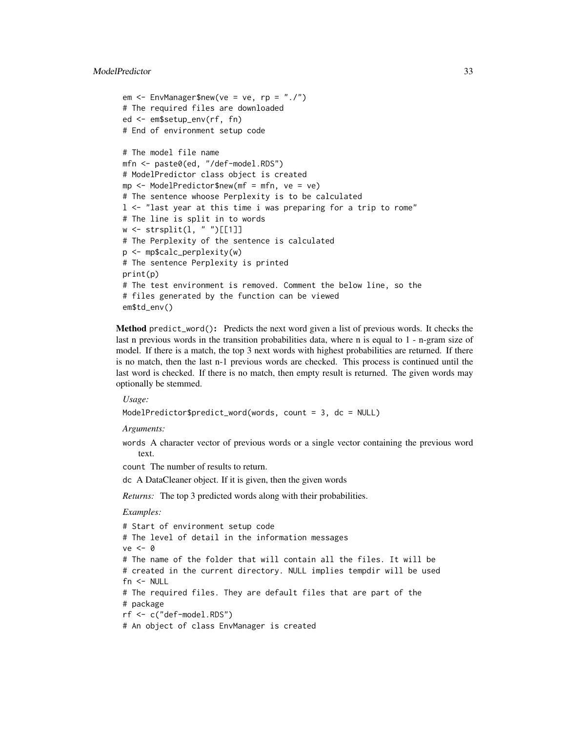```
em \leq EnvManager$new(ve = ve, rp = "./")
# The required files are downloaded
ed <- em$setup_env(rf, fn)
# End of environment setup code
# The model file name
mfn <- paste0(ed, "/def-model.RDS")
# ModelPredictor class object is created
mp \le - ModelPredictor$new(mf = mfn, ve = ve)
# The sentence whoose Perplexity is to be calculated
l <- "last year at this time i was preparing for a trip to rome"
# The line is split in to words
w <- strsplit(l, " ")[[1]]
# The Perplexity of the sentence is calculated
p <- mp$calc_perplexity(w)
# The sentence Perplexity is printed
print(p)
# The test environment is removed. Comment the below line, so the
# files generated by the function can be viewed
em$td_env()
```
<span id="page-32-0"></span>Method predict\_word(): Predicts the next word given a list of previous words. It checks the last n previous words in the transition probabilities data, where n is equal to 1 - n-gram size of model. If there is a match, the top 3 next words with highest probabilities are returned. If there is no match, then the last n-1 previous words are checked. This process is continued until the last word is checked. If there is no match, then empty result is returned. The given words may optionally be stemmed.

*Usage:*

```
ModelPredictor$predict_word(words, count = 3, dc = NULL)
```
*Arguments:*

words A character vector of previous words or a single vector containing the previous word text.

count The number of results to return.

dc A DataCleaner object. If it is given, then the given words

*Returns:* The top 3 predicted words along with their probabilities.

```
# Start of environment setup code
# The level of detail in the information messages
ve <- 0
# The name of the folder that will contain all the files. It will be
# created in the current directory. NULL implies tempdir will be used
fn < - NULL
# The required files. They are default files that are part of the
# package
rf <- c("def-model.RDS")
# An object of class EnvManager is created
```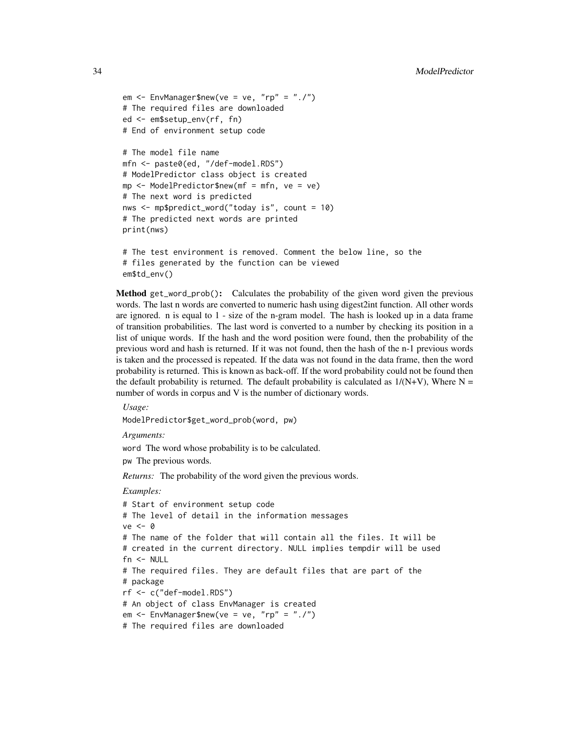```
em <- EnvManager$new(ve = ve, "rp" = "./")
# The required files are downloaded
ed <- em$setup_env(rf, fn)
# End of environment setup code
# The model file name
mfn <- paste0(ed, "/def-model.RDS")
# ModelPredictor class object is created
mp \le - ModelPredictor$new(mf = mfn, ve = ve)
# The next word is predicted
```

```
nws <- mp$predict_word("today is", count = 10)
# The predicted next words are printed
print(nws)
```

```
# The test environment is removed. Comment the below line, so the
# files generated by the function can be viewed
em$td_env()
```
<span id="page-33-0"></span>Method get\_word\_prob(): Calculates the probability of the given word given the previous words. The last n words are converted to numeric hash using digest2int function. All other words are ignored. n is equal to 1 - size of the n-gram model. The hash is looked up in a data frame of transition probabilities. The last word is converted to a number by checking its position in a list of unique words. If the hash and the word position were found, then the probability of the previous word and hash is returned. If it was not found, then the hash of the n-1 previous words is taken and the processed is repeated. If the data was not found in the data frame, then the word probability is returned. This is known as back-off. If the word probability could not be found then the default probability is returned. The default probability is calculated as  $1/(N+V)$ , Where N = number of words in corpus and V is the number of dictionary words.

*Usage:*

ModelPredictor\$get\_word\_prob(word, pw)

*Arguments:*

word The word whose probability is to be calculated.

pw The previous words.

*Returns:* The probability of the word given the previous words.

```
# Start of environment setup code
# The level of detail in the information messages
ve < -0# The name of the folder that will contain all the files. It will be
# created in the current directory. NULL implies tempdir will be used
fn < - NULL
# The required files. They are default files that are part of the
# package
rf <- c("def-model.RDS")
# An object of class EnvManager is created
em <- EnvManager$new(ve = ve, "rp" = "./")
# The required files are downloaded
```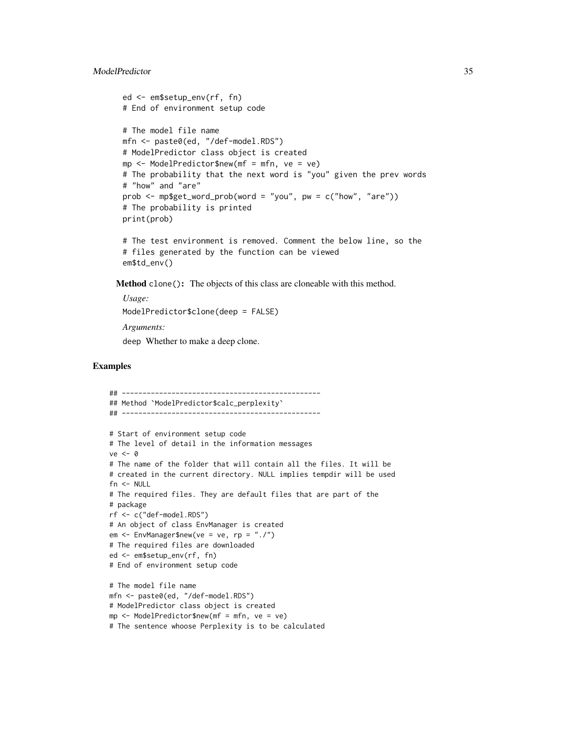# ModelPredictor 35

```
ed <- em$setup_env(rf, fn)
# End of environment setup code
# The model file name
mfn <- paste0(ed, "/def-model.RDS")
# ModelPredictor class object is created
mp \le - ModelPredictor$new(mf = mfn, ve = ve)
# The probability that the next word is "you" given the prev words
# "how" and "are"
prob <- mp$get_word_prob(word = "you", pw = c("how", "are"))
# The probability is printed
print(prob)
```

```
# The test environment is removed. Comment the below line, so the
# files generated by the function can be viewed
em$td_env()
```
Method clone(): The objects of this class are cloneable with this method.

*Usage:* ModelPredictor\$clone(deep = FALSE)

*Arguments:*

deep Whether to make a deep clone.

```
## ------------------------------------------------
## Method `ModelPredictor$calc_perplexity`
## ------------------------------------------------
# Start of environment setup code
# The level of detail in the information messages
ve <- 0
# The name of the folder that will contain all the files. It will be
# created in the current directory. NULL implies tempdir will be used
fn <- NULL
# The required files. They are default files that are part of the
# package
rf <- c("def-model.RDS")
# An object of class EnvManager is created
em <- EnvManager$new(ve = ve, rp = "./")
# The required files are downloaded
ed <- em$setup_env(rf, fn)
# End of environment setup code
# The model file name
mfn <- paste0(ed, "/def-model.RDS")
# ModelPredictor class object is created
mp <- ModelPredictor$new(mf = mfn, ve = ve)
# The sentence whoose Perplexity is to be calculated
```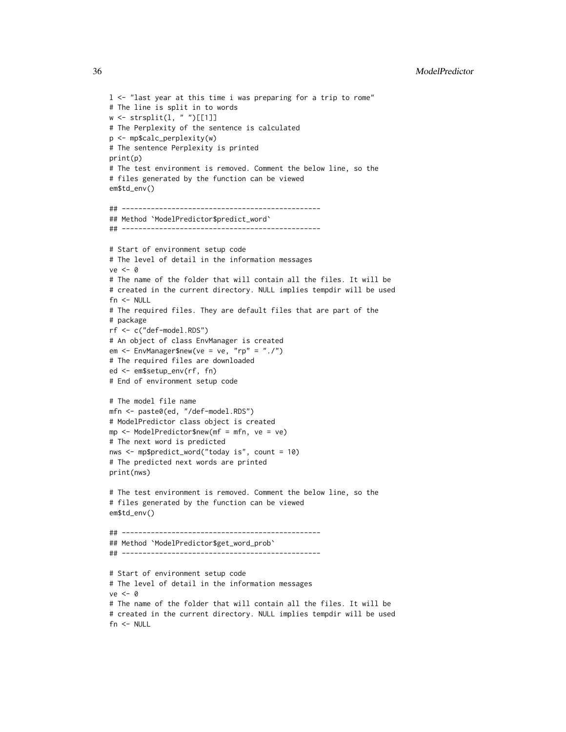```
l <- "last year at this time i was preparing for a trip to rome"
# The line is split in to words
w <- strsplit(l, " ")[[1]]
# The Perplexity of the sentence is calculated
p <- mp$calc_perplexity(w)
# The sentence Perplexity is printed
print(p)
# The test environment is removed. Comment the below line, so the
# files generated by the function can be viewed
em$td_env()
## ------------------------------------------------
## Method `ModelPredictor$predict_word`
## ------------------------------------------------
# Start of environment setup code
# The level of detail in the information messages
ve < - \theta# The name of the folder that will contain all the files. It will be
# created in the current directory. NULL implies tempdir will be used
fn <- NULL
# The required files. They are default files that are part of the
# package
rf <- c("def-model.RDS")
# An object of class EnvManager is created
em <- EnvManager$new(ve = ve, "rp" = "./")
# The required files are downloaded
ed <- em$setup_env(rf, fn)
# End of environment setup code
# The model file name
mfn <- paste0(ed, "/def-model.RDS")
# ModelPredictor class object is created
mp \le - ModelPredictor$new(mf = mfn, ve = ve)
# The next word is predicted
nws <- mp$predict_word("today is", count = 10)
# The predicted next words are printed
print(nws)
# The test environment is removed. Comment the below line, so the
# files generated by the function can be viewed
em$td_env()
## ------------------------------------------------
## Method `ModelPredictor$get_word_prob`
## ------------------------------------------------
# Start of environment setup code
# The level of detail in the information messages
ve < - \theta# The name of the folder that will contain all the files. It will be
# created in the current directory. NULL implies tempdir will be used
fn <- NULL
```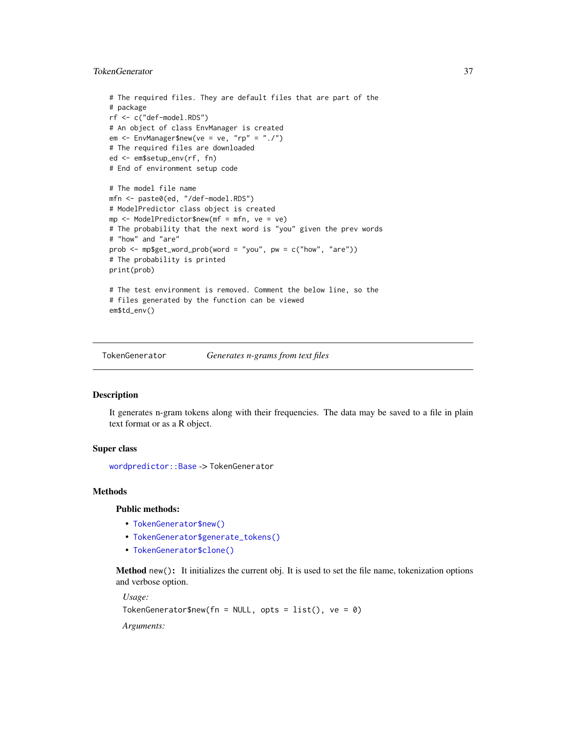# <span id="page-36-0"></span>TokenGenerator 37

```
# The required files. They are default files that are part of the
# package
rf <- c("def-model.RDS")
# An object of class EnvManager is created
em <- EnvManager$new(ve = ve, "rp" = "./")
# The required files are downloaded
ed <- em$setup_env(rf, fn)
# End of environment setup code
# The model file name
mfn <- paste0(ed, "/def-model.RDS")
# ModelPredictor class object is created
mp <- ModelPredictor$new(mf = mfn, ve = ve)
# The probability that the next word is "you" given the prev words
# "how" and "are"
prob <- mp$get_word_prob(word = "you", pw = c("how", "are"))
# The probability is printed
print(prob)
# The test environment is removed. Comment the below line, so the
# files generated by the function can be viewed
em$td_env()
```
TokenGenerator *Generates n-grams from text files*

#### Description

It generates n-gram tokens along with their frequencies. The data may be saved to a file in plain text format or as a R object.

#### Super class

[wordpredictor::Base](#page-0-0) -> TokenGenerator

# **Methods**

#### Public methods:

- [TokenGenerator\\$new\(\)](#page-1-1)
- [TokenGenerator\\$generate\\_tokens\(\)](#page-37-0)
- [TokenGenerator\\$clone\(\)](#page-2-1)

Method new(): It initializes the current obj. It is used to set the file name, tokenization options and verbose option.

*Usage:*

TokenGenerator\$new(fn = NULL, opts =  $list()$ , ve = 0)

*Arguments:*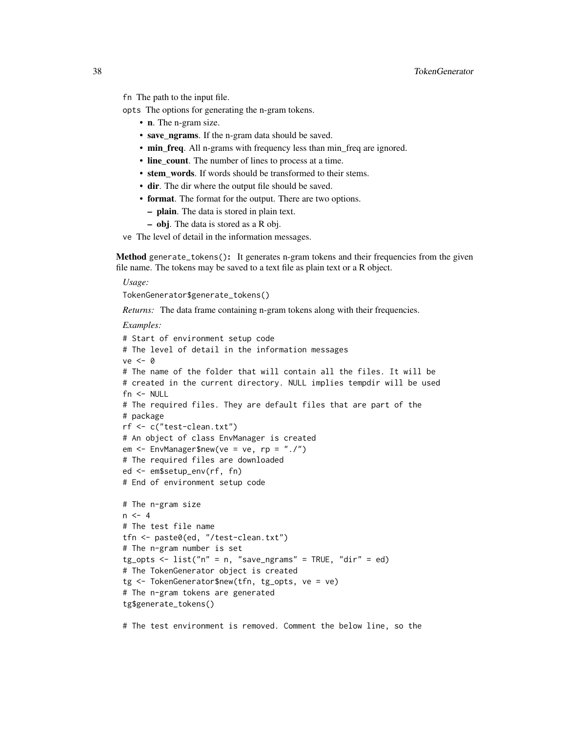fn The path to the input file.

opts The options for generating the n-gram tokens.

- n. The n-gram size.
- save\_ngrams. If the n-gram data should be saved.
- min\_freq. All n-grams with frequency less than min\_freq are ignored.
- line\_count. The number of lines to process at a time.
- stem\_words. If words should be transformed to their stems.
- dir. The dir where the output file should be saved.
- format. The format for the output. There are two options.
	- plain. The data is stored in plain text.
	- obj. The data is stored as a R obj.

ve The level of detail in the information messages.

<span id="page-37-0"></span>Method generate\_tokens(): It generates n-gram tokens and their frequencies from the given file name. The tokens may be saved to a text file as plain text or a R object.

*Usage:*

TokenGenerator\$generate\_tokens()

*Returns:* The data frame containing n-gram tokens along with their frequencies.

*Examples:*

```
# Start of environment setup code
# The level of detail in the information messages
ve <- 0
# The name of the folder that will contain all the files. It will be
# created in the current directory. NULL implies tempdir will be used
fn < - NULL
# The required files. They are default files that are part of the
# package
rf <- c("test-clean.txt")
# An object of class EnvManager is created
em \leq EnvManager$new(ve = ve, rp = "./")
# The required files are downloaded
ed <- em$setup_env(rf, fn)
# End of environment setup code
# The n-gram size
n < -4# The test file name
tfn <- paste0(ed, "/test-clean.txt")
# The n-gram number is set
tg\_opts <- list("n" = n, "save_ngrams" = TRUE, "dir" = ed)# The TokenGenerator object is created
tg <- TokenGenerator$new(tfn, tg_opts, ve = ve)
# The n-gram tokens are generated
tg$generate_tokens()
```
# The test environment is removed. Comment the below line, so the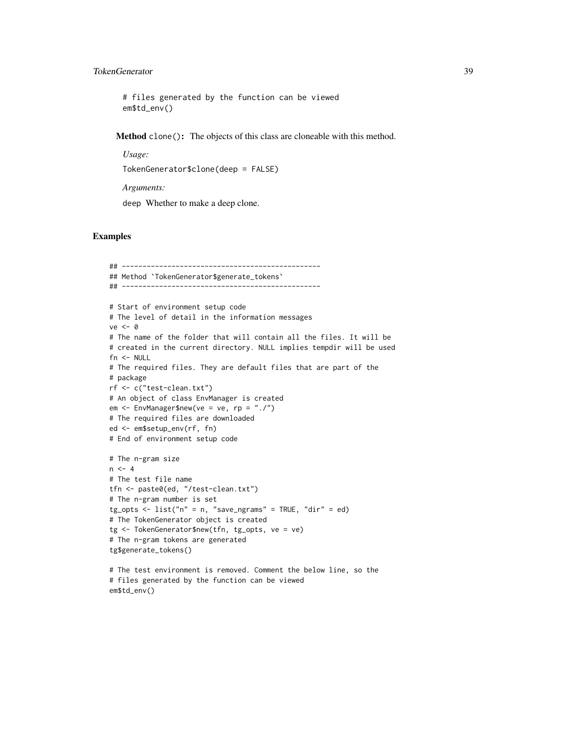# TokenGenerator 39

# files generated by the function can be viewed em\$td\_env()

Method clone(): The objects of this class are cloneable with this method.

*Usage:*

```
TokenGenerator$clone(deep = FALSE)
```
*Arguments:*

deep Whether to make a deep clone.

```
## ------------------------------------------------
## Method `TokenGenerator$generate_tokens`
## ------------------------------------------------
# Start of environment setup code
# The level of detail in the information messages
ve < - \theta# The name of the folder that will contain all the files. It will be
# created in the current directory. NULL implies tempdir will be used
fn \leq NULL
# The required files. They are default files that are part of the
# package
rf <- c("test-clean.txt")
# An object of class EnvManager is created
em <- EnvManager$new(ve = ve, rp = "./")
# The required files are downloaded
ed <- em$setup_env(rf, fn)
# End of environment setup code
# The n-gram size
n < -4# The test file name
tfn <- paste0(ed, "/test-clean.txt")
# The n-gram number is set
tg\_opts <- list("n" = n, "save_ngrams" = TRUE, "dir" = ed)# The TokenGenerator object is created
tg <- TokenGenerator$new(tfn, tg_opts, ve = ve)
# The n-gram tokens are generated
tg$generate_tokens()
# The test environment is removed. Comment the below line, so the
# files generated by the function can be viewed
em$td_env()
```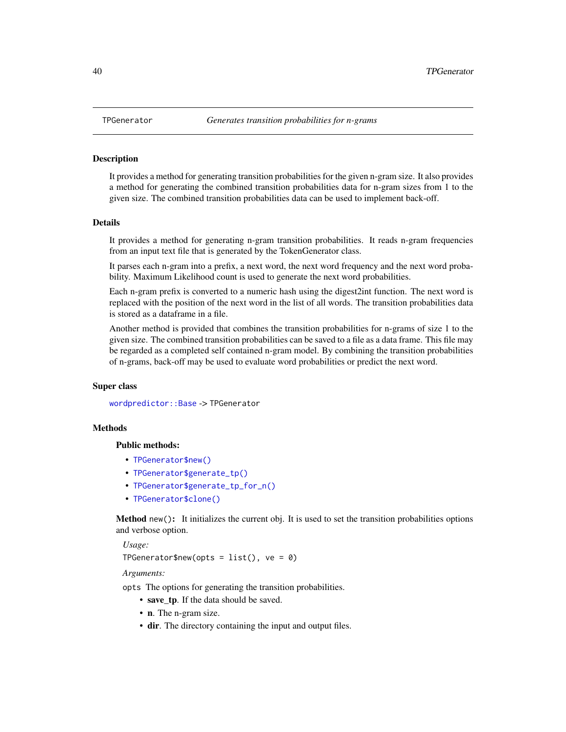#### Description

It provides a method for generating transition probabilities for the given n-gram size. It also provides a method for generating the combined transition probabilities data for n-gram sizes from 1 to the given size. The combined transition probabilities data can be used to implement back-off.

#### **Details**

It provides a method for generating n-gram transition probabilities. It reads n-gram frequencies from an input text file that is generated by the TokenGenerator class.

It parses each n-gram into a prefix, a next word, the next word frequency and the next word probability. Maximum Likelihood count is used to generate the next word probabilities.

Each n-gram prefix is converted to a numeric hash using the digest2int function. The next word is replaced with the position of the next word in the list of all words. The transition probabilities data is stored as a dataframe in a file.

Another method is provided that combines the transition probabilities for n-grams of size 1 to the given size. The combined transition probabilities can be saved to a file as a data frame. This file may be regarded as a completed self contained n-gram model. By combining the transition probabilities of n-grams, back-off may be used to evaluate word probabilities or predict the next word.

# Super class

[wordpredictor::Base](#page-0-0) -> TPGenerator

#### **Methods**

#### Public methods:

- [TPGenerator\\$new\(\)](#page-1-1)
- [TPGenerator\\$generate\\_tp\(\)](#page-40-0)
- [TPGenerator\\$generate\\_tp\\_for\\_n\(\)](#page-40-1)
- [TPGenerator\\$clone\(\)](#page-2-1)

Method new(): It initializes the current obj. It is used to set the transition probabilities options and verbose option.

*Usage:*

TPGenerator\$new(opts =  $list()$ , ve = 0)

*Arguments:*

opts The options for generating the transition probabilities.

- save\_tp. If the data should be saved.
- n. The n-gram size.
- dir. The directory containing the input and output files.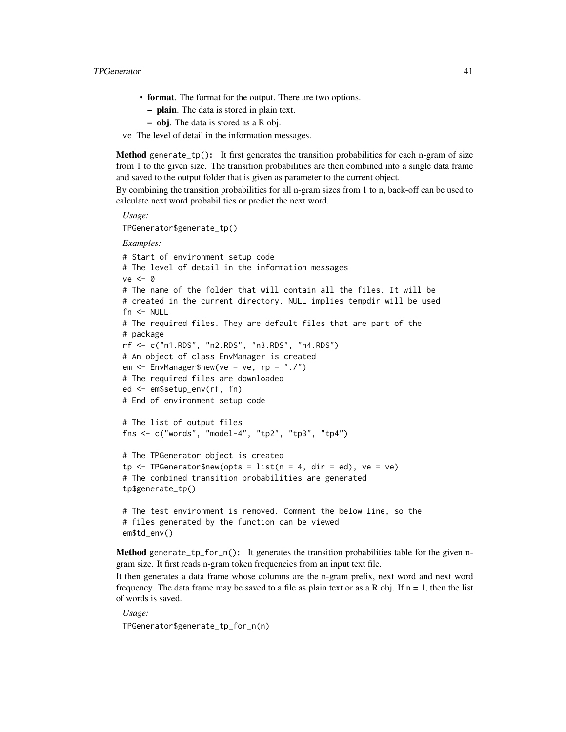#### **TPGenerator** 41

- format. The format for the output. There are two options.
	- plain. The data is stored in plain text.
	- obj. The data is stored as a R obj.
- ve The level of detail in the information messages.

<span id="page-40-0"></span>Method generate\_tp(): It first generates the transition probabilities for each n-gram of size from 1 to the given size. The transition probabilities are then combined into a single data frame and saved to the output folder that is given as parameter to the current object.

By combining the transition probabilities for all n-gram sizes from 1 to n, back-off can be used to calculate next word probabilities or predict the next word.

TPGenerator\$generate\_tp()

*Examples:*

*Usage:*

```
# Start of environment setup code
# The level of detail in the information messages
ve < - \theta# The name of the folder that will contain all the files. It will be
# created in the current directory. NULL implies tempdir will be used
fn <- NULL
# The required files. They are default files that are part of the
# package
rf <- c("n1.RDS", "n2.RDS", "n3.RDS", "n4.RDS")
# An object of class EnvManager is created
em \leq EnvManager$new(ve = ve, rp = "./")
# The required files are downloaded
ed <- em$setup_env(rf, fn)
# End of environment setup code
# The list of output files
fns <- c("words", "model-4", "tp2", "tp3", "tp4")
# The TPGenerator object is created
tp \leq -\text{TPGenerator}$new(opts = list(n = 4, dir = ed), ve = ve)
# The combined transition probabilities are generated
tp$generate_tp()
# The test environment is removed. Comment the below line, so the
# files generated by the function can be viewed
em$td_env()
```
<span id="page-40-1"></span>**Method** generate\_tp\_for\_n(): It generates the transition probabilities table for the given ngram size. It first reads n-gram token frequencies from an input text file.

It then generates a data frame whose columns are the n-gram prefix, next word and next word frequency. The data frame may be saved to a file as plain text or as a R obj. If  $n = 1$ , then the list of words is saved.

*Usage:* TPGenerator\$generate\_tp\_for\_n(n)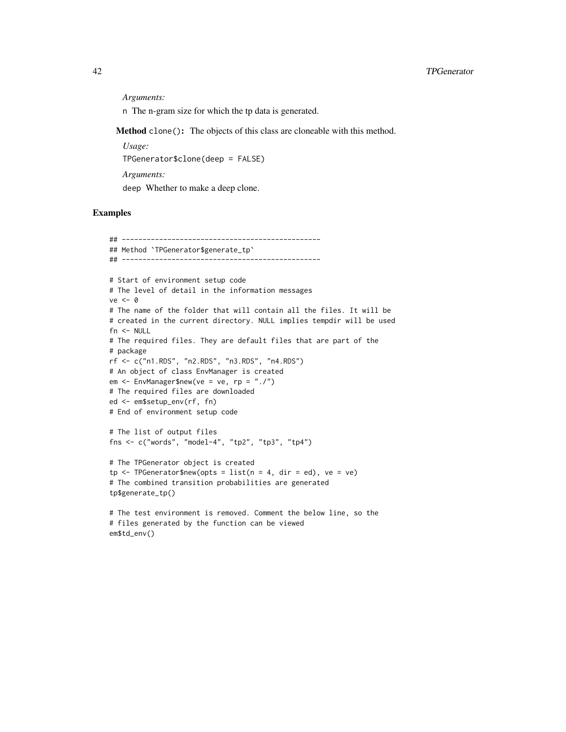*Arguments:*

n The n-gram size for which the tp data is generated.

Method clone(): The objects of this class are cloneable with this method.

*Usage:*

TPGenerator\$clone(deep = FALSE)

*Arguments:*

deep Whether to make a deep clone.

```
## ------------------------------------------------
## Method `TPGenerator$generate_tp`
## ------------------------------------------------
# Start of environment setup code
# The level of detail in the information messages
ve < - \theta# The name of the folder that will contain all the files. It will be
# created in the current directory. NULL implies tempdir will be used
fn <- NULL
# The required files. They are default files that are part of the
# package
rf <- c("n1.RDS", "n2.RDS", "n3.RDS", "n4.RDS")
# An object of class EnvManager is created
em <- EnvManager$new(ve = ve, rp = "./")
# The required files are downloaded
ed <- em$setup_env(rf, fn)
# End of environment setup code
# The list of output files
fns <- c("words", "model-4", "tp2", "tp3", "tp4")
# The TPGenerator object is created
tp \leq -\text{TPGenerator\$new(opts = list(n = 4, dir = ed), ve = ve)}# The combined transition probabilities are generated
tp$generate_tp()
# The test environment is removed. Comment the below line, so the
# files generated by the function can be viewed
em$td_env()
```